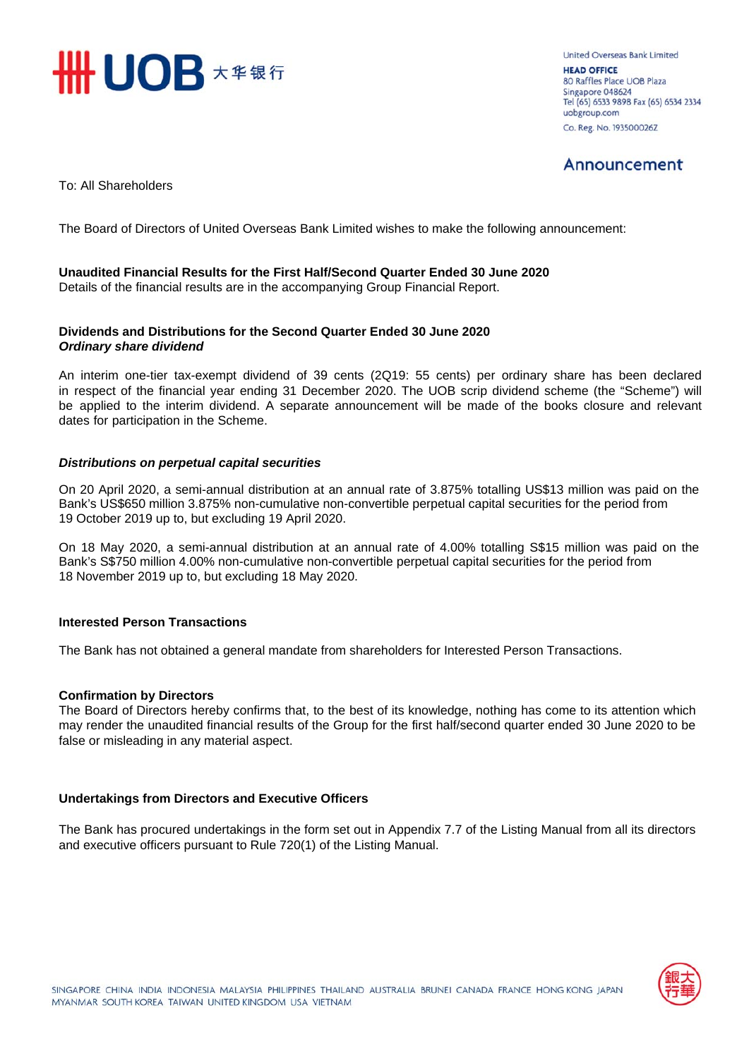

**Linited Overseas Bank Limited UEAD OFFICE** 80 Raffles Place UOB Plaza Singapore 048624 Tel (65) 6533 9898 Fax (65) 6534 2334 uobgroup.com Co. Reg. No. 193500026Z

## Announcement

To: All Shareholders

The Board of Directors of United Overseas Bank Limited wishes to make the following announcement:

## **Unaudited Financial Results for the First Half/Second Quarter Ended 30 June 2020**

Details of the financial results are in the accompanying Group Financial Report.

## **Dividends and Distributions for the Second Quarter Ended 30 June 2020** *Ordinary share dividend*

An interim one-tier tax-exempt dividend of 39 cents (2Q19: 55 cents) per ordinary share has been declared in respect of the financial year ending 31 December 2020. The UOB scrip dividend scheme (the "Scheme") will be applied to the interim dividend. A separate announcement will be made of the books closure and relevant dates for participation in the Scheme.

## *Distributions on perpetual capital securities*

On 20 April 2020, a semi-annual distribution at an annual rate of 3.875% totalling US\$13 million was paid on the Bank's US\$650 million 3.875% non-cumulative non-convertible perpetual capital securities for the period from 19 October 2019 up to, but excluding 19 April 2020.

On 18 May 2020, a semi-annual distribution at an annual rate of 4.00% totalling S\$15 million was paid on the Bank's S\$750 million 4.00% non-cumulative non-convertible perpetual capital securities for the period from 18 November 2019 up to, but excluding 18 May 2020.

### **Interested Person Transactions**

The Bank has not obtained a general mandate from shareholders for Interested Person Transactions.

### **Confirmation by Directors**

The Board of Directors hereby confirms that, to the best of its knowledge, nothing has come to its attention which may render the unaudited financial results of the Group for the first half/second quarter ended 30 June 2020 to be false or misleading in any material aspect.

### **Undertakings from Directors and Executive Officers**

The Bank has procured undertakings in the form set out in Appendix 7.7 of the Listing Manual from all its directors and executive officers pursuant to Rule 720(1) of the Listing Manual.

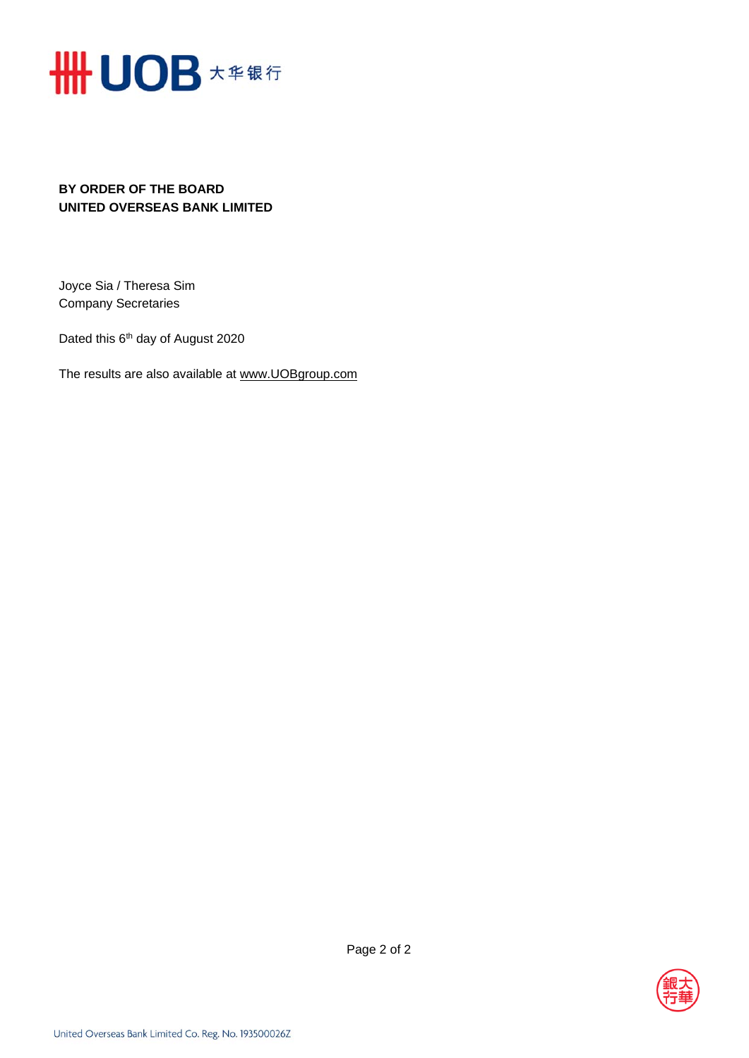

## **BY ORDER OF THE BOARD UNITED OVERSEAS BANK LIMITED**

Joyce Sia / Theresa Sim Company Secretaries

Dated this 6<sup>th</sup> day of August 2020

The results are also available at www.UOBgroup.com

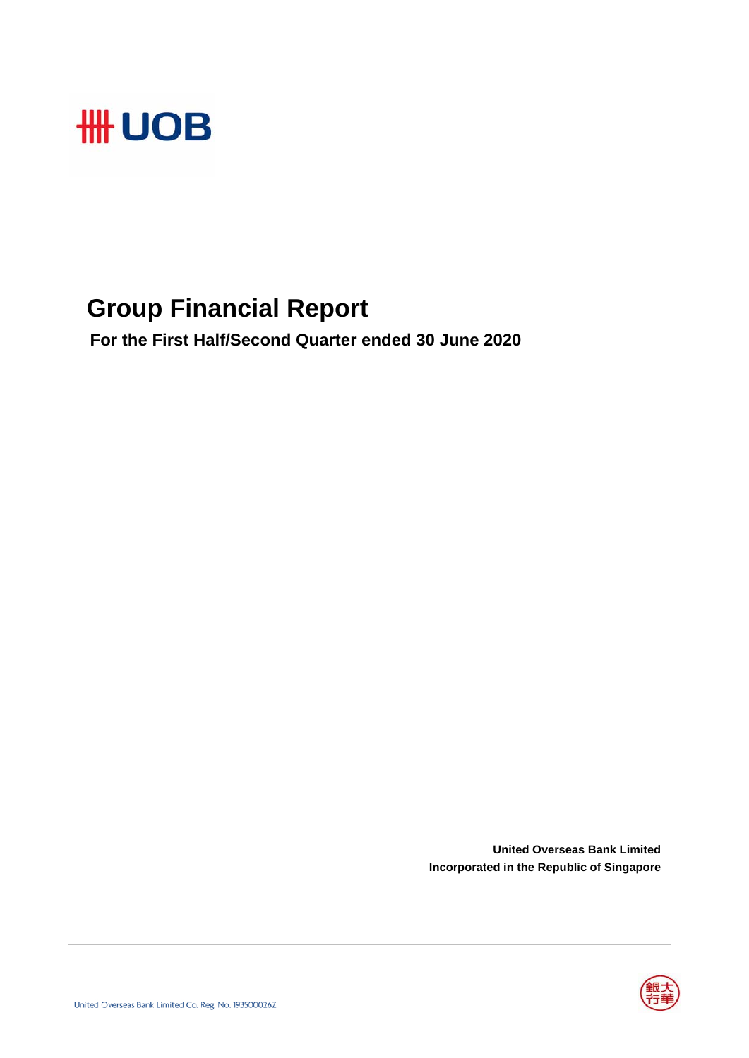

## **Group Financial Report**

 **For the First Half/Second Quarter ended 30 June 2020**

**United Overseas Bank Limited Incorporated in the Republic of Singapore**

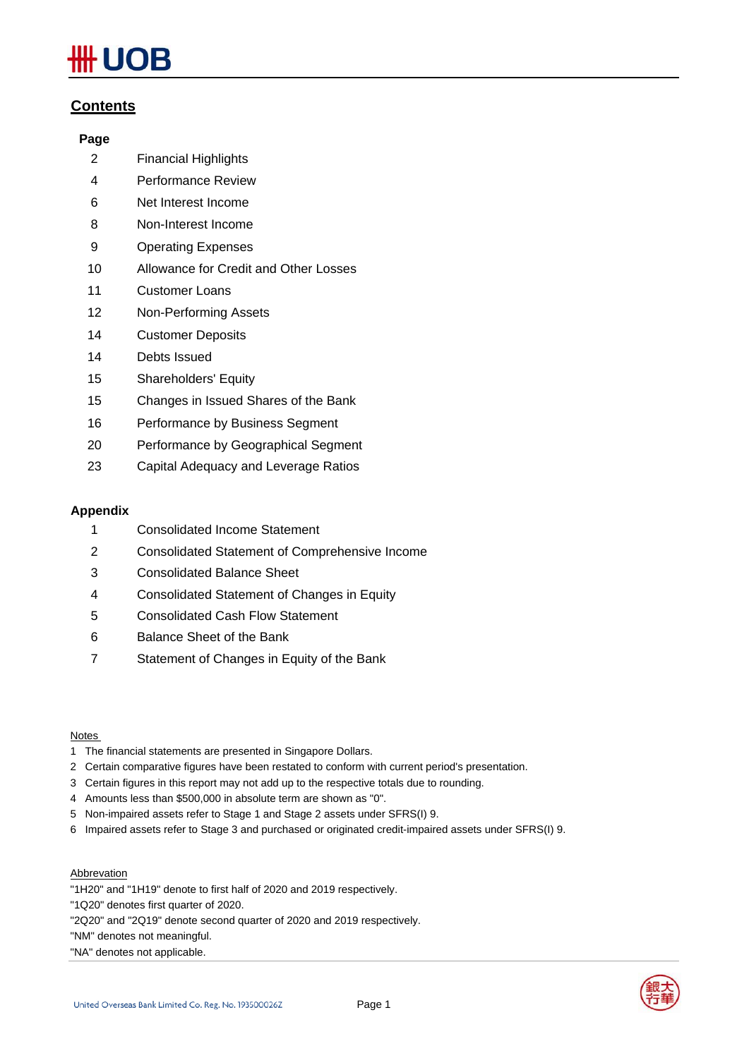# **IOB**

## **Contents**

## **Page**

- 2 Financial Highlights
- 4 Performance Review
- 6 Net Interest Income
- 8 Non-Interest Income
- 9 Operating Expenses
- 10 Allowance for Credit and Other Losses
- 11 Customer Loans
- 12 Non-Performing Assets
- 14 Customer Deposits
- 14 Debts Issued
- 15 Shareholders' Equity
- 15 Changes in Issued Shares of the Bank
- 16 Performance by Business Segment
- 20 Performance by Geographical Segment
- 23 Capital Adequacy and Leverage Ratios

## **Appendix**

- 1 Consolidated Income Statement
- 2 Consolidated Statement of Comprehensive Income
- 3 Consolidated Balance Sheet
- 4 Consolidated Statement of Changes in Equity
- 5 Consolidated Cash Flow Statement
- 6 Balance Sheet of the Bank
- 7 Statement of Changes in Equity of the Bank

### Notes

- 1 The financial statements are presented in Singapore Dollars.
- 2 Certain comparative figures have been restated to conform with current period's presentation.
- 3 Certain figures in this report may not add up to the respective totals due to rounding.
- 4 Amounts less than \$500,000 in absolute term are shown as "0".
- 5 Non-impaired assets refer to Stage 1 and Stage 2 assets under SFRS(I) 9.
- 6 Impaired assets refer to Stage 3 and purchased or originated credit-impaired assets under SFRS(I) 9.

### Abbrevation

- "1H20" and "1H19" denote to first half of 2020 and 2019 respectively.
- "1Q20" denotes first quarter of 2020.
- "2Q20" and "2Q19" denote second quarter of 2020 and 2019 respectively.
- "NM" denotes not meaningful.
- "NA" denotes not applicable.

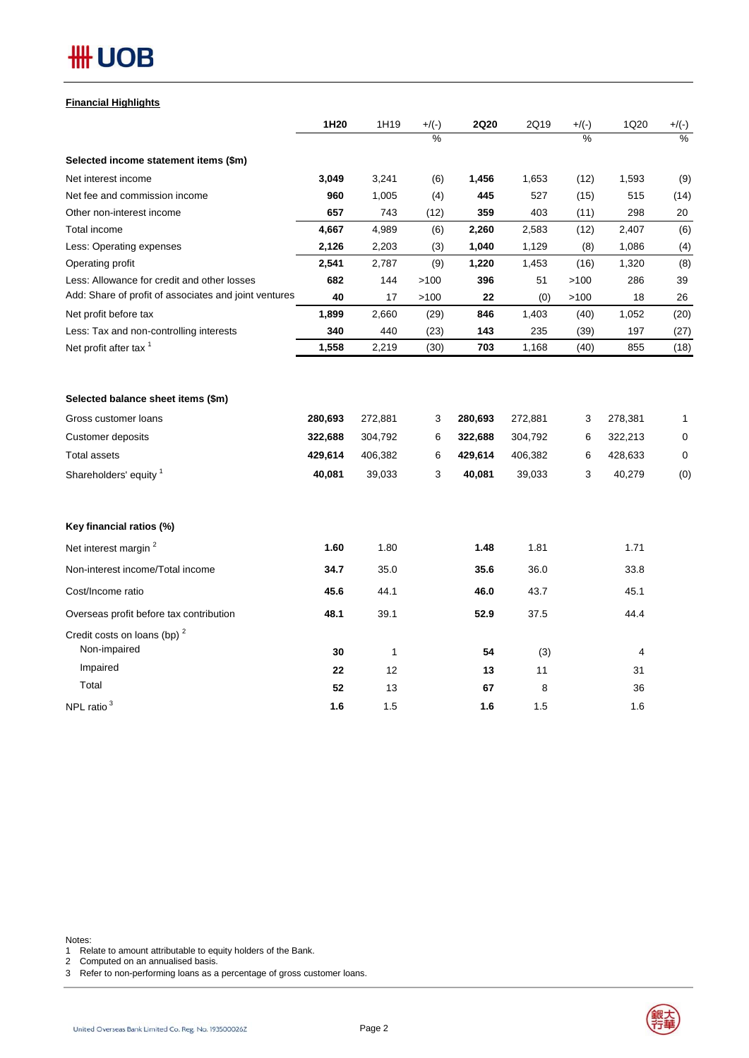| <b>Financial Highlights</b> |
|-----------------------------|
|-----------------------------|

|                                                         | 1H20    | 1H19         | $+/(-)$       | <b>2Q20</b> | 2Q19    | $+/(-)$       | 1Q20    | $+$ /(-)      |
|---------------------------------------------------------|---------|--------------|---------------|-------------|---------|---------------|---------|---------------|
|                                                         |         |              | $\frac{1}{2}$ |             |         | $\frac{1}{2}$ |         | $\frac{0}{6}$ |
| Selected income statement items (\$m)                   |         |              |               |             |         |               |         |               |
| Net interest income                                     | 3,049   | 3,241        | (6)           | 1,456       | 1,653   | (12)          | 1,593   | (9)           |
| Net fee and commission income                           | 960     | 1,005        | (4)           | 445         | 527     | (15)          | 515     | (14)          |
| Other non-interest income                               | 657     | 743          | (12)          | 359         | 403     | (11)          | 298     | 20            |
| Total income                                            | 4,667   | 4,989        | (6)           | 2,260       | 2,583   | (12)          | 2,407   | (6)           |
| Less: Operating expenses                                | 2,126   | 2,203        | (3)           | 1,040       | 1,129   | (8)           | 1,086   | (4)           |
| Operating profit                                        | 2,541   | 2,787        | (9)           | 1,220       | 1,453   | (16)          | 1,320   | (8)           |
| Less: Allowance for credit and other losses             | 682     | 144          | >100          | 396         | 51      | >100          | 286     | 39            |
| Add: Share of profit of associates and joint ventures   | 40      | 17           | >100          | 22          | (0)     | >100          | 18      | 26            |
| Net profit before tax                                   | 1,899   | 2,660        | (29)          | 846         | 1,403   | (40)          | 1,052   | (20)          |
| Less: Tax and non-controlling interests                 | 340     | 440          | (23)          | 143         | 235     | (39)          | 197     | (27)          |
| Net profit after tax <sup>1</sup>                       | 1,558   | 2,219        | (30)          | 703         | 1,168   | (40)          | 855     | (18)          |
| Selected balance sheet items (\$m)                      |         |              |               |             |         |               |         |               |
| Gross customer loans                                    | 280,693 | 272,881      | 3             | 280,693     | 272,881 | 3             | 278,381 | 1             |
| Customer deposits                                       | 322,688 | 304,792      | 6             | 322,688     | 304,792 | 6             | 322,213 | 0             |
| <b>Total assets</b>                                     | 429,614 | 406,382      | 6             | 429,614     | 406,382 | 6             | 428,633 | $\mathbf 0$   |
| Shareholders' equity <sup>1</sup>                       | 40,081  | 39,033       | 3             | 40,081      | 39,033  | 3             | 40,279  | (0)           |
| Key financial ratios (%)                                |         |              |               |             |         |               |         |               |
| Net interest margin <sup>2</sup>                        | 1.60    | 1.80         |               | 1.48        | 1.81    |               | 1.71    |               |
| Non-interest income/Total income                        | 34.7    | 35.0         |               | 35.6        | 36.0    |               | 33.8    |               |
| Cost/Income ratio                                       | 45.6    | 44.1         |               | 46.0        | 43.7    |               | 45.1    |               |
| Overseas profit before tax contribution                 | 48.1    | 39.1         |               | 52.9        | 37.5    |               | 44.4    |               |
| Credit costs on loans (bp) <sup>2</sup><br>Non-impaired | 30      | $\mathbf{1}$ |               | 54          | (3)     |               | 4       |               |
| Impaired                                                | 22      | 12           |               | 13          | 11      |               | 31      |               |
| Total                                                   | 52      | 13           |               | 67          | 8       |               | 36      |               |
| NPL ratio <sup>3</sup>                                  | 1.6     | 1.5          |               | 1.6         | 1.5     |               | 1.6     |               |

Notes:

1 Relate to amount attributable to equity holders of the Bank.

2 Computed on an annualised basis.

3 Refer to non-performing loans as a percentage of gross customer loans.

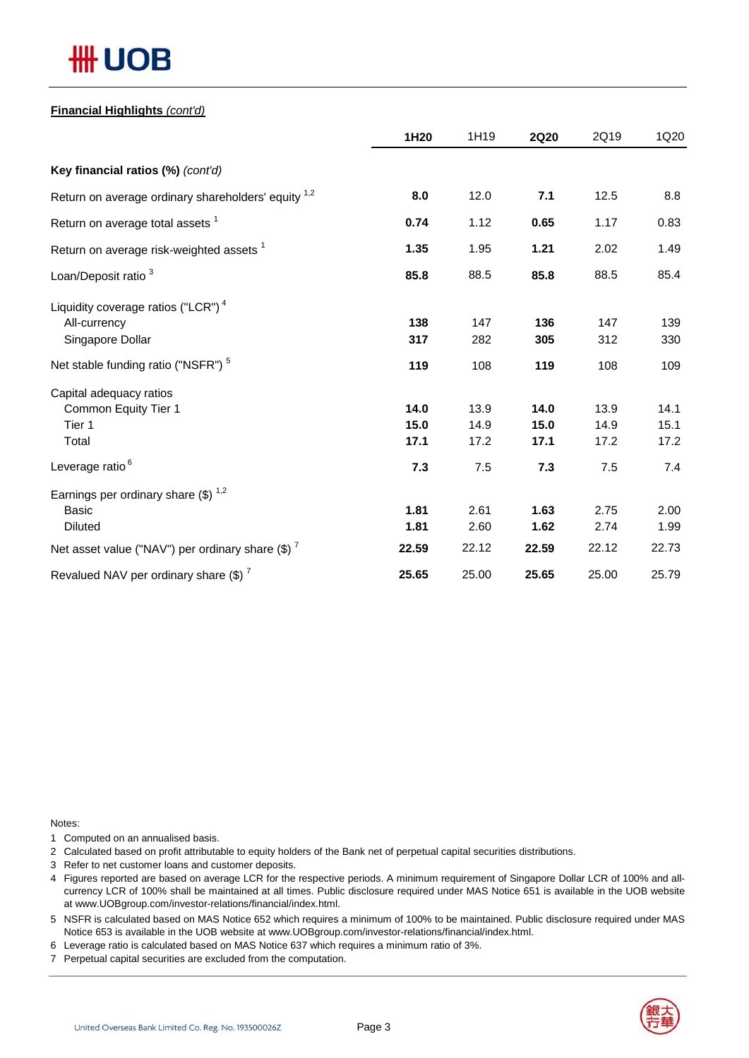# **## UOB**

## **Financial Highlights** *(cont'd)*

|                                                     | 1H20  | 1H19  | <b>2Q20</b> | 2Q19  | 1Q20  |
|-----------------------------------------------------|-------|-------|-------------|-------|-------|
| Key financial ratios (%) (cont'd)                   |       |       |             |       |       |
| Return on average ordinary shareholders' equity 1,2 | 8.0   | 12.0  | 7.1         | 12.5  | 8.8   |
| Return on average total assets <sup>1</sup>         | 0.74  | 1.12  | 0.65        | 1.17  | 0.83  |
| Return on average risk-weighted assets <sup>1</sup> | 1.35  | 1.95  | 1.21        | 2.02  | 1.49  |
| Loan/Deposit ratio <sup>3</sup>                     | 85.8  | 88.5  | 85.8        | 88.5  | 85.4  |
| Liquidity coverage ratios ("LCR") <sup>4</sup>      |       |       |             |       |       |
| All-currency                                        | 138   | 147   | 136         | 147   | 139   |
| Singapore Dollar                                    | 317   | 282   | 305         | 312   | 330   |
| Net stable funding ratio ("NSFR") <sup>5</sup>      | 119   | 108   | 119         | 108   | 109   |
| Capital adequacy ratios                             |       |       |             |       |       |
| Common Equity Tier 1                                | 14.0  | 13.9  | 14.0        | 13.9  | 14.1  |
| Tier 1                                              | 15.0  | 14.9  | 15.0        | 14.9  | 15.1  |
| Total                                               | 17.1  | 17.2  | 17.1        | 17.2  | 17.2  |
| Leverage ratio <sup>6</sup>                         | 7.3   | 7.5   | 7.3         | 7.5   | 7.4   |
| Earnings per ordinary share $(\$)^{1,2}$            |       |       |             |       |       |
| <b>Basic</b>                                        | 1.81  | 2.61  | 1.63        | 2.75  | 2.00  |
| <b>Diluted</b>                                      | 1.81  | 2.60  | 1.62        | 2.74  | 1.99  |
| Net asset value ("NAV") per ordinary share $(\$)^7$ | 22.59 | 22.12 | 22.59       | 22.12 | 22.73 |
| Revalued NAV per ordinary share $(\$)^7$            | 25.65 | 25.00 | 25.65       | 25.00 | 25.79 |

Notes:

1 Computed on an annualised basis.

2 Calculated based on profit attributable to equity holders of the Bank net of perpetual capital securities distributions.

- 3 Refer to net customer loans and customer deposits.
- 4 Figures reported are based on average LCR for the respective periods. A minimum requirement of Singapore Dollar LCR of 100% and allcurrency LCR of 100% shall be maintained at all times. Public disclosure required under MAS Notice 651 is available in the UOB website at www.UOBgroup.com/investor-relations/financial/index.html.

5 NSFR is calculated based on MAS Notice 652 which requires a minimum of 100% to be maintained. Public disclosure required under MAS Notice 653 is available in the UOB website at www.UOBgroup.com/investor-relations/financial/index.html.

6 Leverage ratio is calculated based on MAS Notice 637 which requires a minimum ratio of 3%.

7 Perpetual capital securities are excluded from the computation.

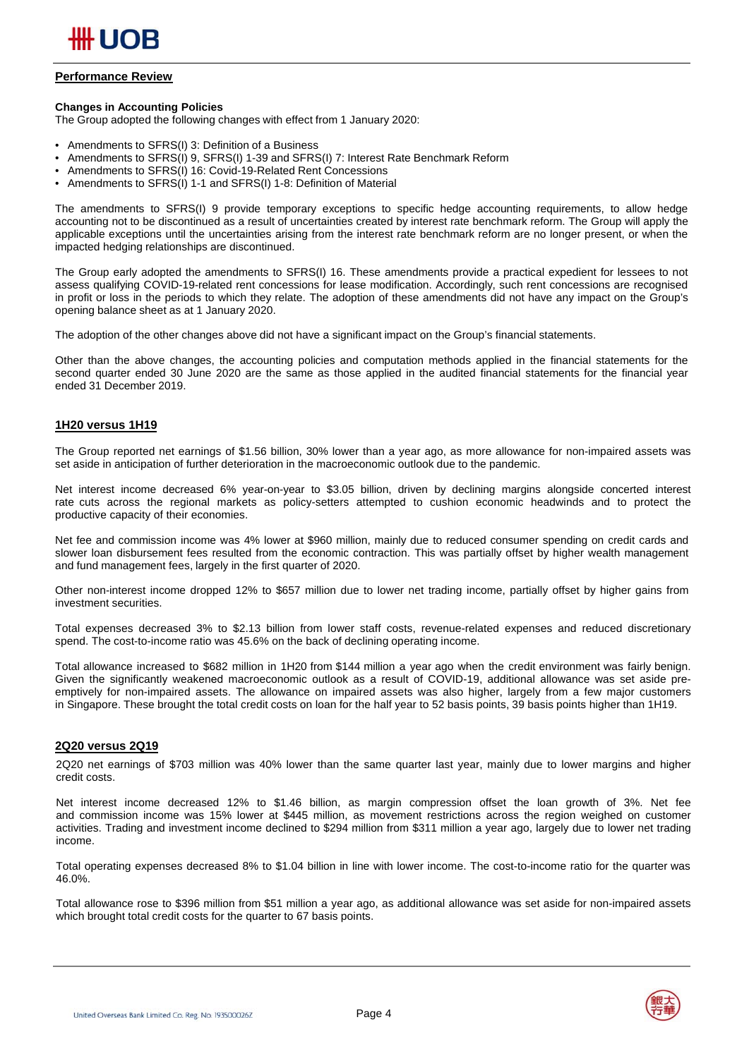

## **Performance Review**

#### **Changes in Accounting Policies**

The Group adopted the following changes with effect from 1 January 2020:

- Amendments to SFRS(I) 3: Definition of a Business
- Amendments to SFRS(I) 9, SFRS(I) 1-39 and SFRS(I) 7: Interest Rate Benchmark Reform
- Amendments to SFRS(I) 16: Covid-19-Related Rent Concessions
- Amendments to SFRS(I) 1-1 and SFRS(I) 1-8: Definition of Material

The amendments to SFRS(I) 9 provide temporary exceptions to specific hedge accounting requirements, to allow hedge accounting not to be discontinued as a result of uncertainties created by interest rate benchmark reform. The Group will apply the applicable exceptions until the uncertainties arising from the interest rate benchmark reform are no longer present, or when the impacted hedging relationships are discontinued.

The Group early adopted the amendments to SFRS(I) 16. These amendments provide a practical expedient for lessees to not assess qualifying COVID-19-related rent concessions for lease modification. Accordingly, such rent concessions are recognised in profit or loss in the periods to which they relate. The adoption of these amendments did not have any impact on the Group's opening balance sheet as at 1 January 2020.

The adoption of the other changes above did not have a significant impact on the Group's financial statements.

Other than the above changes, the accounting policies and computation methods applied in the financial statements for the second quarter ended 30 June 2020 are the same as those applied in the audited financial statements for the financial year ended 31 December 2019.

#### **1H20 versus 1H19**

The Group reported net earnings of \$1.56 billion, 30% lower than a year ago, as more allowance for non-impaired assets was set aside in anticipation of further deterioration in the macroeconomic outlook due to the pandemic.

Net interest income decreased 6% year-on-year to \$3.05 billion, driven by declining margins alongside concerted interest rate cuts across the regional markets as policy-setters attempted to cushion economic headwinds and to protect the productive capacity of their economies.

Net fee and commission income was 4% lower at \$960 million, mainly due to reduced consumer spending on credit cards and slower loan disbursement fees resulted from the economic contraction. This was partially offset by higher wealth management and fund management fees, largely in the first quarter of 2020.

Other non-interest income dropped 12% to \$657 million due to lower net trading income, partially offset by higher gains from investment securities.

Total expenses decreased 3% to \$2.13 billion from lower staff costs, revenue-related expenses and reduced discretionary spend. The cost-to-income ratio was 45.6% on the back of declining operating income.

Total allowance increased to \$682 million in 1H20 from \$144 million a year ago when the credit environment was fairly benign. Given the significantly weakened macroeconomic outlook as a result of COVID-19, additional allowance was set aside preemptively for non-impaired assets. The allowance on impaired assets was also higher, largely from a few major customers in Singapore. These brought the total credit costs on loan for the half year to 52 basis points, 39 basis points higher than 1H19.

#### **2Q20 versus 2Q19**

2Q20 net earnings of \$703 million was 40% lower than the same quarter last year, mainly due to lower margins and higher credit costs.

Net interest income decreased 12% to \$1.46 billion, as margin compression offset the loan growth of 3%. Net fee and commission income was 15% lower at \$445 million, as movement restrictions across the region weighed on customer activities. Trading and investment income declined to \$294 million from \$311 million a year ago, largely due to lower net trading income.

Total operating expenses decreased 8% to \$1.04 billion in line with lower income. The cost-to-income ratio for the quarter was 46.0%.

Total allowance rose to \$396 million from \$51 million a year ago, as additional allowance was set aside for non-impaired assets which brought total credit costs for the quarter to 67 basis points.



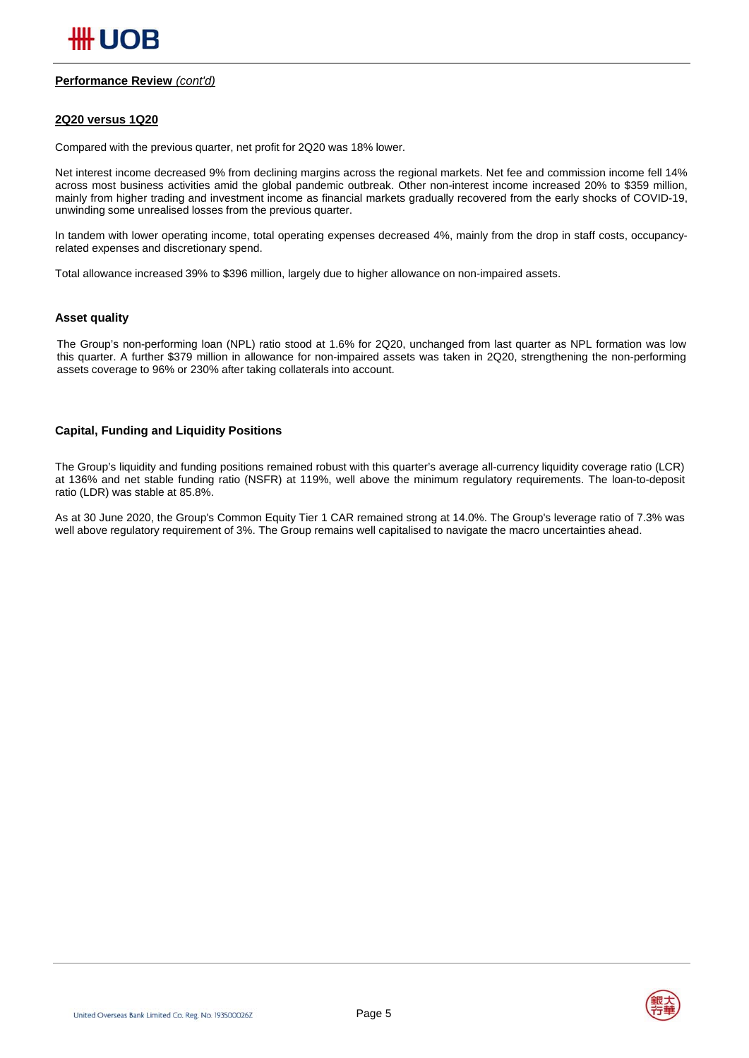#### **Performance Review** *(cont'd)*

#### **2Q20 versus 1Q20**

Compared with the previous quarter, net profit for 2Q20 was 18% lower.

Net interest income decreased 9% from declining margins across the regional markets. Net fee and commission income fell 14% across most business activities amid the global pandemic outbreak. Other non-interest income increased 20% to \$359 million, mainly from higher trading and investment income as financial markets gradually recovered from the early shocks of COVID-19, unwinding some unrealised losses from the previous quarter.

In tandem with lower operating income, total operating expenses decreased 4%, mainly from the drop in staff costs, occupancyrelated expenses and discretionary spend.

Total allowance increased 39% to \$396 million, largely due to higher allowance on non-impaired assets.

#### **Asset quality**

The Group's non-performing loan (NPL) ratio stood at 1.6% for 2Q20, unchanged from last quarter as NPL formation was low this quarter. A further \$379 million in allowance for non-impaired assets was taken in 2Q20, strengthening the non-performing assets coverage to 96% or 230% after taking collaterals into account.

#### **Capital, Funding and Liquidity Positions**

The Group's liquidity and funding positions remained robust with this quarter's average all-currency liquidity coverage ratio (LCR) at 136% and net stable funding ratio (NSFR) at 119%, well above the minimum regulatory requirements. The loan-to-deposit ratio (LDR) was stable at 85.8%.

As at 30 June 2020, the Group's Common Equity Tier 1 CAR remained strong at 14.0%. The Group's leverage ratio of 7.3% was well above regulatory requirement of 3%. The Group remains well capitalised to navigate the macro uncertainties ahead.

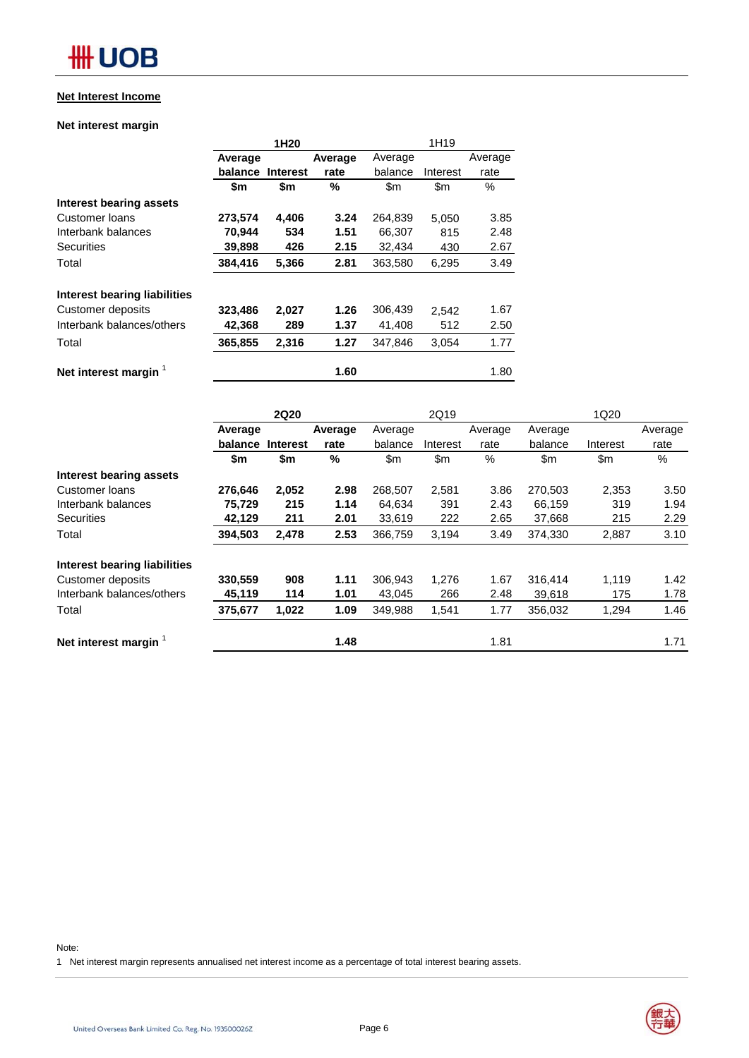## **Net Interest Income**

## **Net interest margin**

|                                  |         | 1H <sub>20</sub> |         | 1H19          |               |         |  |
|----------------------------------|---------|------------------|---------|---------------|---------------|---------|--|
|                                  | Average |                  | Average | Average       |               | Average |  |
|                                  | balance | <b>Interest</b>  | rate    | balance       | Interest      | rate    |  |
|                                  | \$m     | \$m              | %       | $\mathsf{Sm}$ | $\mathsf{Sm}$ | $\%$    |  |
| Interest bearing assets          |         |                  |         |               |               |         |  |
| Customer Ioans                   | 273,574 | 4,406            | 3.24    | 264,839       | 5,050         | 3.85    |  |
| Interbank balances               | 70,944  | 534              | 1.51    | 66,307        | 815           | 2.48    |  |
| <b>Securities</b>                | 39,898  | 426              | 2.15    | 32,434        | 430           | 2.67    |  |
| Total                            | 384,416 | 5,366            | 2.81    | 363,580       | 6,295         | 3.49    |  |
| Interest bearing liabilities     |         |                  |         |               |               |         |  |
| Customer deposits                | 323,486 | 2,027            | 1.26    | 306,439       | 2,542         | 1.67    |  |
| Interbank balances/others        | 42,368  | 289              | 1.37    | 41,408        | 512           | 2.50    |  |
| Total                            | 365,855 | 2,316            | 1.27    | 347,846       | 3,054         | 1.77    |  |
| Net interest margin <sup>1</sup> |         |                  | 1.60    |               |               | 1.80    |  |

|                                     |         | <b>2Q20</b>     |         | 2Q19    |          |      | 1Q20          |          |         |
|-------------------------------------|---------|-----------------|---------|---------|----------|------|---------------|----------|---------|
|                                     | Average |                 | Average | Average | Average  |      | Average       |          | Average |
|                                     | balance | <b>Interest</b> | rate    | balance | Interest | rate | balance       | Interest | rate    |
|                                     | \$m     | \$m             | %       | \$m     | \$m      | %    | $\mathsf{Sm}$ | \$m      | %       |
| Interest bearing assets             |         |                 |         |         |          |      |               |          |         |
| Customer Ioans                      | 276,646 | 2,052           | 2.98    | 268,507 | 2,581    | 3.86 | 270,503       | 2,353    | 3.50    |
| Interbank balances                  | 75,729  | 215             | 1.14    | 64,634  | 391      | 2.43 | 66,159        | 319      | 1.94    |
| <b>Securities</b>                   | 42,129  | 211             | 2.01    | 33,619  | 222      | 2.65 | 37,668        | 215      | 2.29    |
| Total                               | 394,503 | 2,478           | 2.53    | 366,759 | 3,194    | 3.49 | 374,330       | 2,887    | 3.10    |
| <b>Interest bearing liabilities</b> |         |                 |         |         |          |      |               |          |         |
| Customer deposits                   | 330,559 | 908             | 1.11    | 306,943 | 1,276    | 1.67 | 316,414       | 1,119    | 1.42    |
| Interbank balances/others           | 45,119  | 114             | 1.01    | 43,045  | 266      | 2.48 | 39,618        | 175      | 1.78    |
| Total                               | 375,677 | 1,022           | 1.09    | 349,988 | 1,541    | 1.77 | 356,032       | 1,294    | 1.46    |
| Net interest margin                 |         |                 | 1.48    |         |          | 1.81 |               |          | 1.71    |

#### Note:

1 Net interest margin represents annualised net interest income as a percentage of total interest bearing assets.

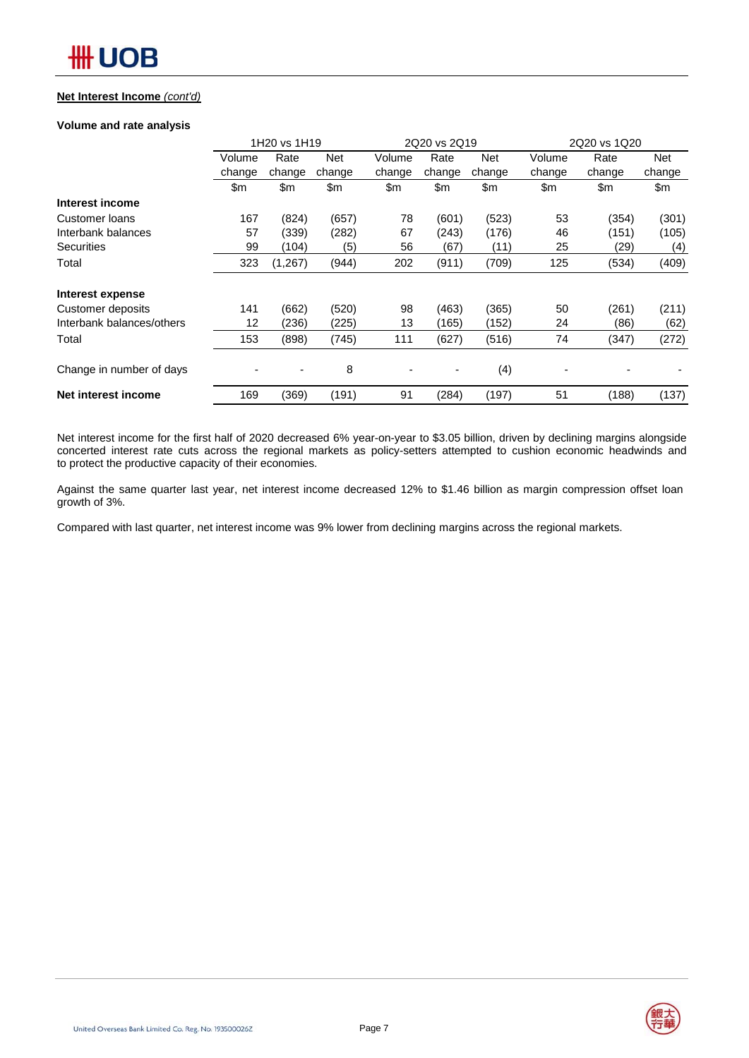### **Net Interest Income** *(cont'd)*

#### **Volume and rate analysis**

|                           |        | 1H20 vs 1H19 |               | 2Q20 vs 2Q19 |        |            | 2Q20 vs 1Q20             |        |            |  |  |  |
|---------------------------|--------|--------------|---------------|--------------|--------|------------|--------------------------|--------|------------|--|--|--|
|                           | Volume | Rate         | <b>Net</b>    | Volume       | Rate   | <b>Net</b> | Volume                   | Rate   | <b>Net</b> |  |  |  |
|                           | change | change       | change        | change       | change | change     | change                   | change | change     |  |  |  |
|                           | \$m    | \$m          | $\mathsf{Sm}$ | \$m          | \$m    | \$m        | \$m                      | \$m    | \$m        |  |  |  |
| Interest income           |        |              |               |              |        |            |                          |        |            |  |  |  |
| <b>Customer loans</b>     | 167    | (824)        | (657)         | 78           | (601)  | (523)      | 53                       | (354)  | (301)      |  |  |  |
| Interbank balances        | 57     | (339)        | (282)         | 67           | (243)  | (176)      | 46                       | (151)  | (105)      |  |  |  |
| <b>Securities</b>         | 99     | (104)        | (5)           | 56           | (67)   | (11)       | 25                       | (29)   | (4)        |  |  |  |
| Total                     | 323    | (1, 267)     | (944)         | 202          | (911)  | (709)      | 125                      | (534)  | (409)      |  |  |  |
| Interest expense          |        |              |               |              |        |            |                          |        |            |  |  |  |
| Customer deposits         | 141    | (662)        | (520)         | 98           | (463)  | (365)      | 50                       | (261)  | (211)      |  |  |  |
| Interbank balances/others | 12     | (236)        | (225)         | 13           | (165)  | (152)      | 24                       | (86)   | (62)       |  |  |  |
| Total                     | 153    | (898)        | (745)         | 111          | (627)  | (516)      | 74                       | (347)  | (272)      |  |  |  |
| Change in number of days  |        | ٠            | 8             |              | ٠      | (4)        | $\overline{\phantom{a}}$ |        |            |  |  |  |
| Net interest income       | 169    | (369)        | (191)         | 91           | (284)  | (197)      | 51                       | (188)  | (137)      |  |  |  |

Net interest income for the first half of 2020 decreased 6% year-on-year to \$3.05 billion, driven by declining margins alongside concerted interest rate cuts across the regional markets as policy-setters attempted to cushion economic headwinds and to protect the productive capacity of their economies.

Against the same quarter last year, net interest income decreased 12% to \$1.46 billion as margin compression offset loan growth of 3%.

Compared with last quarter, net interest income was 9% lower from declining margins across the regional markets.

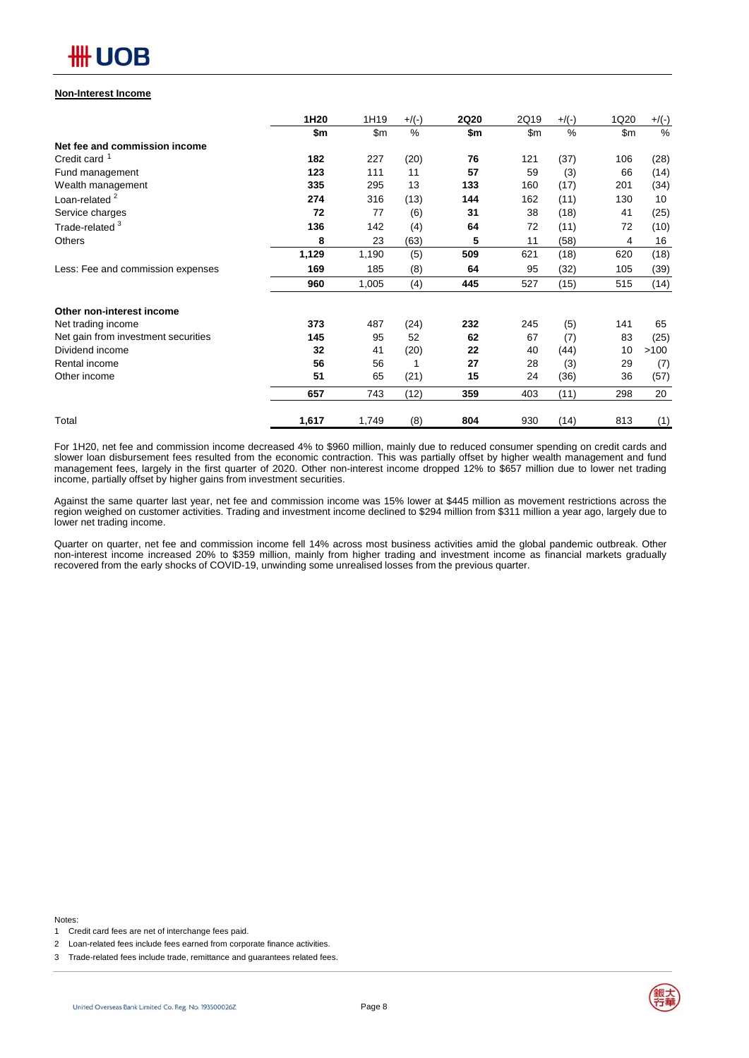

#### **Non-Interest Income**

|                                     | 1H20  | 1H19  | $+$ /(-) | <b>2Q20</b> | 2Q19 | $+$ /(-) | 1Q20 | $+/(-)$ |
|-------------------------------------|-------|-------|----------|-------------|------|----------|------|---------|
|                                     | \$m   | \$m   | $\%$     | \$m         | \$m  | $\%$     | \$m  | %       |
| Net fee and commission income       |       |       |          |             |      |          |      |         |
| Credit card <sup>1</sup>            | 182   | 227   | (20)     | 76          | 121  | (37)     | 106  | (28)    |
| Fund management                     | 123   | 111   | 11       | 57          | 59   | (3)      | 66   | (14)    |
| Wealth management                   | 335   | 295   | 13       | 133         | 160  | (17)     | 201  | (34)    |
| Loan-related <sup>2</sup>           | 274   | 316   | (13)     | 144         | 162  | (11)     | 130  | 10      |
| Service charges                     | 72    | 77    | (6)      | 31          | 38   | (18)     | 41   | (25)    |
| Trade-related <sup>3</sup>          | 136   | 142   | (4)      | 64          | 72   | (11)     | 72   | (10)    |
| <b>Others</b>                       | 8     | 23    | (63)     | 5           | 11   | (58)     | 4    | 16      |
|                                     | 1,129 | 1,190 | (5)      | 509         | 621  | (18)     | 620  | (18)    |
| Less: Fee and commission expenses   | 169   | 185   | (8)      | 64          | 95   | (32)     | 105  | (39)    |
|                                     | 960   | 1,005 | (4)      | 445         | 527  | (15)     | 515  | (14)    |
| Other non-interest income           |       |       |          |             |      |          |      |         |
| Net trading income                  | 373   | 487   | (24)     | 232         | 245  | (5)      | 141  | 65      |
| Net gain from investment securities | 145   | 95    | 52       | 62          | 67   | (7)      | 83   | (25)    |
| Dividend income                     | 32    | 41    | (20)     | 22          | 40   | (44)     | 10   | >100    |
| Rental income                       | 56    | 56    | 1        | 27          | 28   | (3)      | 29   | (7)     |
| Other income                        | 51    | 65    | (21)     | 15          | 24   | (36)     | 36   | (57)    |
|                                     | 657   | 743   | (12)     | 359         | 403  | (11)     | 298  | 20      |
| Total                               | 1,617 | 1,749 | (8)      | 804         | 930  | (14)     | 813  | (1)     |

For 1H20, net fee and commission income decreased 4% to \$960 million, mainly due to reduced consumer spending on credit cards and slower loan disbursement fees resulted from the economic contraction. This was partially offset by higher wealth management and fund management fees, largely in the first quarter of 2020. Other non-interest income dropped 12% to \$657 million due to lower net trading income, partially offset by higher gains from investment securities.

Against the same quarter last year, net fee and commission income was 15% lower at \$445 million as movement restrictions across the region weighed on customer activities. Trading and investment income declined to \$294 million from \$311 million a year ago, largely due to lower net trading income.

Quarter on quarter, net fee and commission income fell 14% across most business activities amid the global pandemic outbreak. Other non-interest income increased 20% to \$359 million, mainly from higher trading and investment income as financial markets gradually recovered from the early shocks of COVID-19, unwinding some unrealised losses from the previous quarter.

Notes:



<sup>1</sup> Credit card fees are net of interchange fees paid.

<sup>2</sup> Loan-related fees include fees earned from corporate finance activities.

<sup>3</sup> Trade-related fees include trade, remittance and guarantees related fees.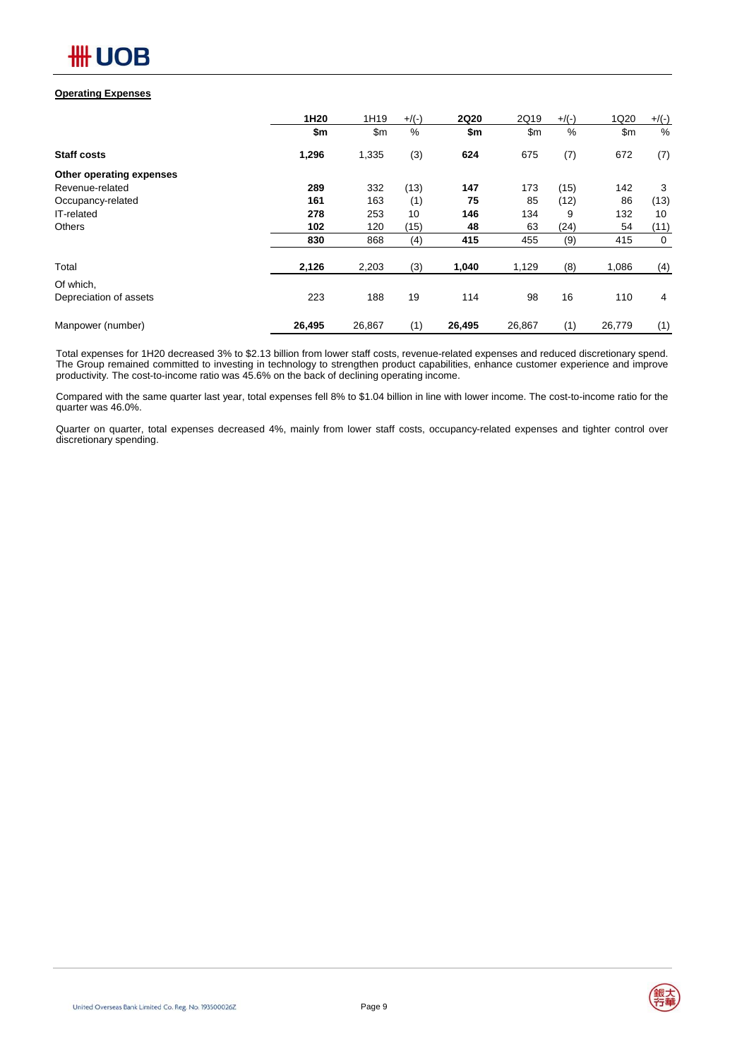#### **Operating Expenses**

|                          | 1H20   | 1H19   | $+$ /(-) | <b>2Q20</b> | 2Q19   | $+$ /(-) | 1Q20   | $+$ /(-)    |
|--------------------------|--------|--------|----------|-------------|--------|----------|--------|-------------|
|                          | \$m    | \$m    | $\%$     | \$m         | \$m    | $\%$     | \$m    | %           |
| <b>Staff costs</b>       | 1,296  | 1,335  | (3)      | 624         | 675    | (7)      | 672    | (7)         |
| Other operating expenses |        |        |          |             |        |          |        |             |
| Revenue-related          | 289    | 332    | (13)     | 147         | 173    | (15)     | 142    | 3           |
| Occupancy-related        | 161    | 163    | (1)      | 75          | 85     | (12)     | 86     | (13)        |
| IT-related               | 278    | 253    | 10       | 146         | 134    | 9        | 132    | 10          |
| <b>Others</b>            | 102    | 120    | (15)     | 48          | 63     | (24)     | 54     | (11)        |
|                          | 830    | 868    | (4)      | 415         | 455    | (9)      | 415    | $\mathbf 0$ |
| Total                    | 2,126  | 2,203  | (3)      | 1,040       | 1,129  | (8)      | 1,086  | (4)         |
| Of which,                |        |        |          |             |        |          |        |             |
| Depreciation of assets   | 223    | 188    | 19       | 114         | 98     | 16       | 110    | 4           |
| Manpower (number)        | 26,495 | 26,867 | (1)      | 26,495      | 26,867 | (1)      | 26,779 | (1)         |

Total expenses for 1H20 decreased 3% to \$2.13 billion from lower staff costs, revenue-related expenses and reduced discretionary spend. The Group remained committed to investing in technology to strengthen product capabilities, enhance customer experience and improve productivity. The cost-to-income ratio was 45.6% on the back of declining operating income.

Compared with the same quarter last year, total expenses fell 8% to \$1.04 billion in line with lower income. The cost-to-income ratio for the quarter was 46.0%.

Quarter on quarter, total expenses decreased 4%, mainly from lower staff costs, occupancy-related expenses and tighter control over discretionary spending.

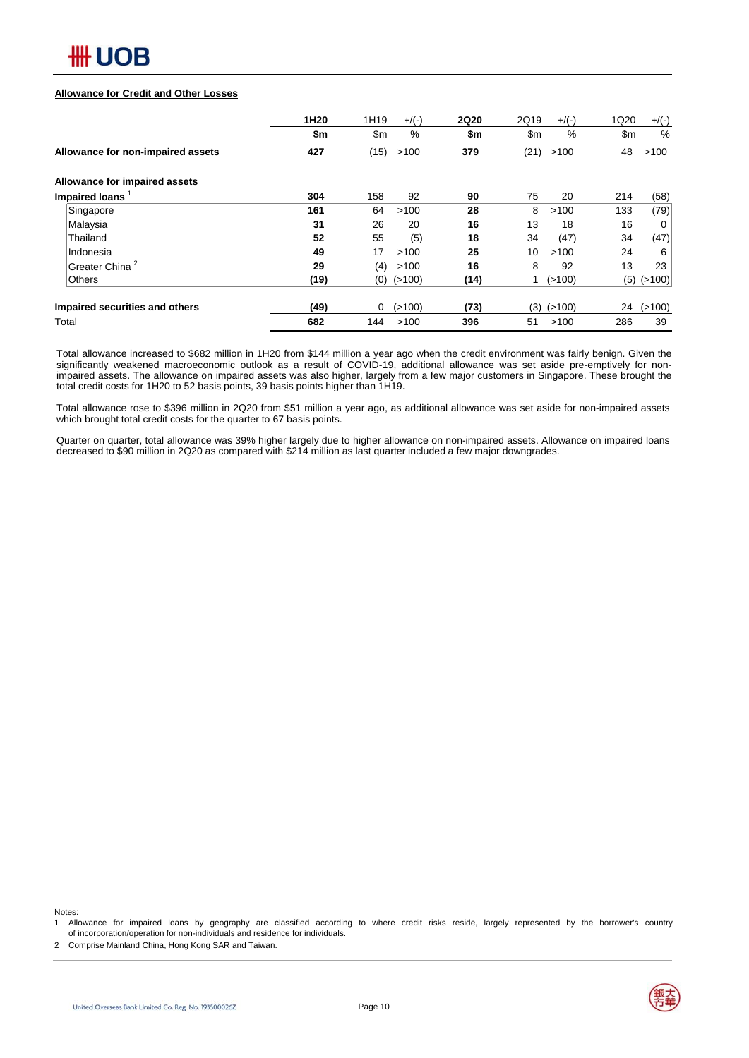

#### **Allowance for Credit and Other Losses**

|                                   | 1H20 | 1H19 | $+/(-)$          | <b>2Q20</b> | 2Q19 | $+/(-)$        | 1Q20 | $+/(-)$      |
|-----------------------------------|------|------|------------------|-------------|------|----------------|------|--------------|
|                                   | \$m  | \$m  | %                | \$m         | \$m  | %              | \$m  | $\%$         |
| Allowance for non-impaired assets | 427  | (15) | >100             | 379         | (21) | >100           | 48   | >100         |
| Allowance for impaired assets     |      |      |                  |             |      |                |      |              |
| Impaired loans <sup>1</sup>       | 304  | 158  | 92               | 90          | 75   | 20             | 214  | (58)         |
| Singapore                         | 161  | 64   | >100             | 28          | 8    | >100           | 133  | (79)         |
| Malaysia                          | 31   | 26   | 20               | 16          | 13   | 18             | 16   | 0            |
| Thailand                          | 52   | 55   | (5)              | 18          | 34   | (47)           | 34   | (47)         |
| Indonesia                         | 49   | 17   | >100             | 25          | 10   | >100           | 24   | 6            |
| Greater China <sup>2</sup>        | 29   | (4)  | >100             | 16          | 8    | 92             | 13   | 23           |
| <b>Others</b>                     | (19) |      | $(0)$ ( $>100$ ) | (14)        |      | (>100)         |      | $(5)$ (>100) |
| Impaired securities and others    | (49) | 0    | (>100)           | (73)        |      | $(3)$ $(>100)$ | 24   | (>100)       |
| Total                             | 682  | 144  | >100             | 396         | 51   | >100           | 286  | 39           |

Total allowance increased to \$682 million in 1H20 from \$144 million a year ago when the credit environment was fairly benign. Given the significantly weakened macroeconomic outlook as a result of COVID-19, additional allowance was set aside pre-emptively for nonimpaired assets. The allowance on impaired assets was also higher, largely from a few major customers in Singapore. These brought the total credit costs for 1H20 to 52 basis points, 39 basis points higher than 1H19.

Total allowance rose to \$396 million in 2Q20 from \$51 million a year ago, as additional allowance was set aside for non-impaired assets which brought total credit costs for the quarter to 67 basis points.

Quarter on quarter, total allowance was 39% higher largely due to higher allowance on non-impaired assets. Allowance on impaired loans decreased to \$90 million in 2Q20 as compared with \$214 million as last quarter included a few major downgrades.

Notes:

1 Allowance for impaired loans by geography are classified according to where credit risks reside, largely represented by the borrower's country of incorporation/operation for non-individuals and residence for individuals.

2 Comprise Mainland China, Hong Kong SAR and Taiwan.

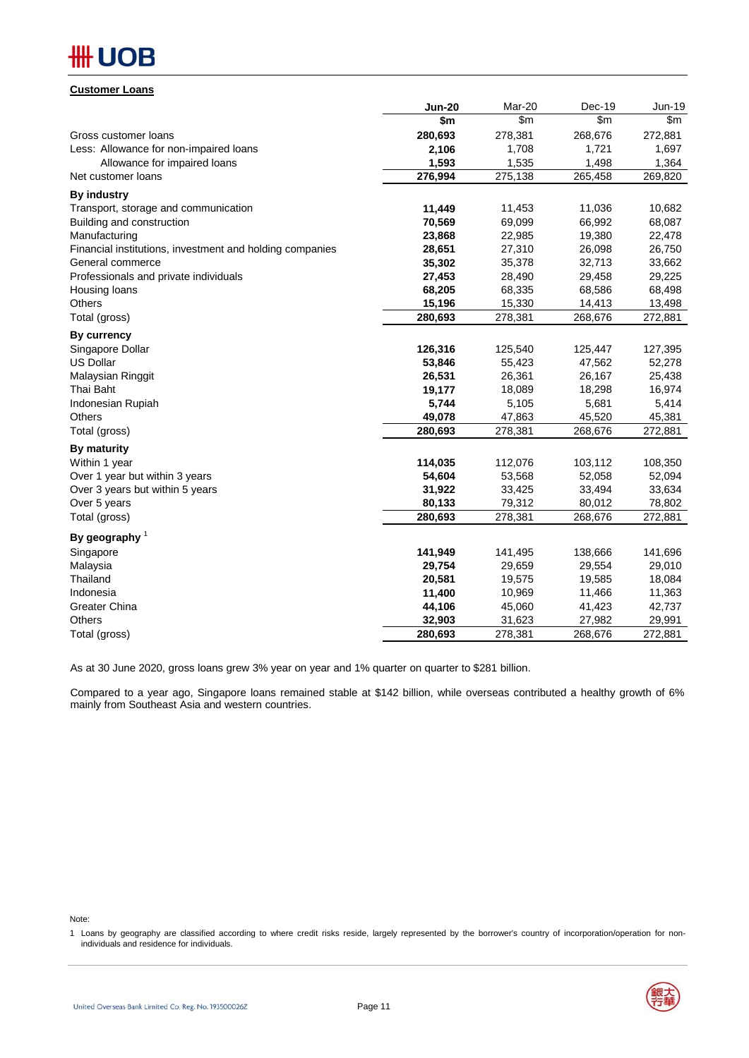#### **Customer Loans**

|                                                          | <b>Jun-20</b> | Mar-20  | Dec-19  | <b>Jun-19</b> |
|----------------------------------------------------------|---------------|---------|---------|---------------|
|                                                          | \$m           | \$m\$   | \$m\$   | \$m           |
| Gross customer loans                                     | 280,693       | 278,381 | 268,676 | 272,881       |
| Less: Allowance for non-impaired loans                   | 2,106         | 1,708   | 1,721   | 1,697         |
| Allowance for impaired loans                             | 1,593         | 1,535   | 1,498   | 1,364         |
| Net customer loans                                       | 276,994       | 275,138 | 265,458 | 269,820       |
| <b>By industry</b>                                       |               |         |         |               |
| Transport, storage and communication                     | 11,449        | 11,453  | 11,036  | 10,682        |
| Building and construction                                | 70,569        | 69,099  | 66,992  | 68,087        |
| Manufacturing                                            | 23,868        | 22,985  | 19,380  | 22,478        |
| Financial institutions, investment and holding companies | 28,651        | 27,310  | 26,098  | 26,750        |
| General commerce                                         | 35,302        | 35,378  | 32,713  | 33,662        |
| Professionals and private individuals                    | 27,453        | 28,490  | 29,458  | 29,225        |
| Housing loans                                            | 68,205        | 68,335  | 68,586  | 68,498        |
| <b>Others</b>                                            | 15,196        | 15,330  | 14,413  | 13,498        |
| Total (gross)                                            | 280,693       | 278,381 | 268,676 | 272,881       |
| By currency                                              |               |         |         |               |
| Singapore Dollar                                         | 126,316       | 125,540 | 125,447 | 127,395       |
| <b>US Dollar</b>                                         | 53,846        | 55,423  | 47,562  | 52,278        |
| Malaysian Ringgit                                        | 26,531        | 26,361  | 26,167  | 25,438        |
| Thai Baht                                                | 19,177        | 18,089  | 18,298  | 16,974        |
| Indonesian Rupiah                                        | 5,744         | 5,105   | 5,681   | 5,414         |
| <b>Others</b>                                            | 49,078        | 47,863  | 45,520  | 45,381        |
| Total (gross)                                            | 280,693       | 278,381 | 268,676 | 272,881       |
| <b>By maturity</b>                                       |               |         |         |               |
| Within 1 year                                            | 114,035       | 112,076 | 103,112 | 108,350       |
| Over 1 year but within 3 years                           | 54,604        | 53,568  | 52,058  | 52,094        |
| Over 3 years but within 5 years                          | 31,922        | 33,425  | 33,494  | 33,634        |
| Over 5 years                                             | 80,133        | 79,312  | 80,012  | 78,802        |
| Total (gross)                                            | 280,693       | 278,381 | 268,676 | 272,881       |
| By geography $1$                                         |               |         |         |               |
| Singapore                                                | 141,949       | 141,495 | 138,666 | 141,696       |
| Malaysia                                                 | 29,754        | 29,659  | 29,554  | 29,010        |
| Thailand                                                 | 20,581        | 19,575  | 19,585  | 18,084        |
| Indonesia                                                | 11,400        | 10,969  | 11,466  | 11,363        |
| <b>Greater China</b>                                     | 44,106        | 45,060  | 41,423  | 42,737        |
| Others                                                   | 32,903        | 31,623  | 27,982  | 29,991        |
| Total (gross)                                            | 280,693       | 278,381 | 268,676 | 272,881       |

As at 30 June 2020, gross loans grew 3% year on year and 1% quarter on quarter to \$281 billion.

Compared to a year ago, Singapore loans remained stable at \$142 billion, while overseas contributed a healthy growth of 6% mainly from Southeast Asia and western countries.

Note:



<sup>1</sup> Loans by geography are classified according to where credit risks reside, largely represented by the borrower's country of incorporation/operation for nonindividuals and residence for individuals.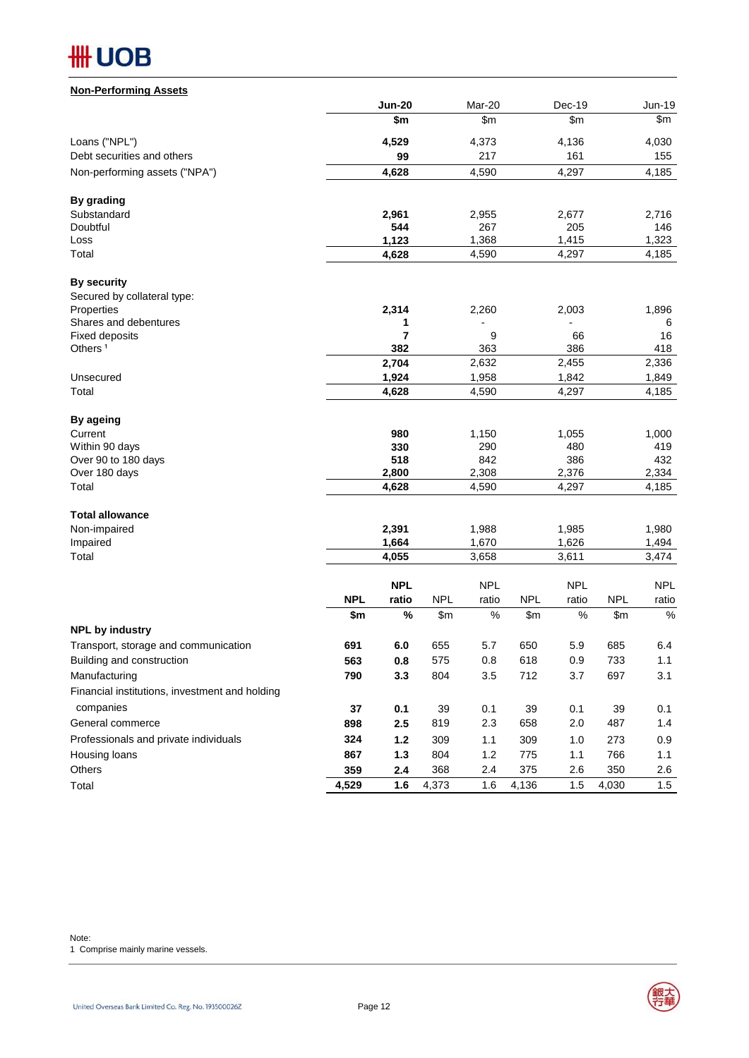| <b>Non-Performing Assets</b>                   |            |                |            |                |            |                |            |                |
|------------------------------------------------|------------|----------------|------------|----------------|------------|----------------|------------|----------------|
|                                                |            | <b>Jun-20</b>  |            | Mar-20         |            | Dec-19         |            | Jun-19         |
|                                                |            | \$m            |            | \$m\$          |            | \$m\$          |            | \$m            |
| Loans ("NPL")                                  |            | 4,529          |            | 4,373          |            | 4,136          |            | 4,030          |
| Debt securities and others                     |            | 99             |            | 217            |            | 161            |            | 155            |
| Non-performing assets ("NPA")                  |            | 4,628          |            | 4,590          |            | 4,297          |            | 4,185          |
| By grading                                     |            |                |            |                |            |                |            |                |
| Substandard                                    |            | 2,961          |            | 2,955          |            | 2,677          |            | 2,716          |
| Doubtful                                       |            | 544            |            | 267            |            | 205            |            | 146            |
| Loss                                           |            | 1,123          |            | 1,368          |            | 1,415          |            | 1,323          |
| Total                                          |            | 4,628          |            | 4,590          |            | 4,297          |            | 4,185          |
| <b>By security</b>                             |            |                |            |                |            |                |            |                |
| Secured by collateral type:                    |            |                |            |                |            |                |            |                |
| Properties<br>Shares and debentures            |            | 2,314<br>1     |            | 2,260          |            | 2,003          |            | 1,896<br>6     |
| <b>Fixed deposits</b>                          |            | $\overline{7}$ |            | 9              |            | 66             |            | 16             |
| Others <sup>1</sup>                            |            | 382            |            | 363            |            | 386            |            | 418            |
|                                                |            | 2,704          |            | 2,632          |            | 2,455          |            | 2,336          |
| Unsecured                                      |            | 1,924          |            | 1,958          |            | 1,842          |            | 1,849          |
| Total                                          |            | 4,628          |            | 4,590          |            | 4,297          |            | 4,185          |
| By ageing                                      |            |                |            |                |            |                |            |                |
| Current                                        |            | 980            |            | 1,150          |            | 1,055          |            | 1,000          |
| Within 90 days                                 |            | 330            |            | 290            |            | 480            |            | 419            |
| Over 90 to 180 days                            |            | 518            |            | 842            |            | 386            |            | 432            |
| Over 180 days<br>Total                         |            | 2,800<br>4,628 |            | 2,308<br>4,590 |            | 2,376<br>4,297 |            | 2,334<br>4,185 |
| <b>Total allowance</b>                         |            |                |            |                |            |                |            |                |
| Non-impaired                                   |            | 2,391          |            | 1,988          |            | 1,985          |            | 1,980          |
| Impaired                                       |            | 1,664          |            | 1,670          |            | 1,626          |            | 1,494          |
| Total                                          |            | 4,055          |            | 3,658          |            | 3,611          |            | 3,474          |
|                                                |            | <b>NPL</b>     |            | <b>NPL</b>     |            | <b>NPL</b>     |            | <b>NPL</b>     |
|                                                | <b>NPL</b> | ratio          | <b>NPL</b> | ratio          | <b>NPL</b> | ratio          | <b>NPL</b> | ratio          |
| <b>NPL by industry</b>                         | \$m        | $\%$           | \$m\$      | $\%$           | \$m\$      | $\%$           | \$m\$      | $\%$           |
| Transport, storage and communication           | 691        | 6.0            | 655        | 5.7            | 650        | 5.9            | 685        | 6.4            |
| Building and construction                      | 563        | 0.8            | 575        | 0.8            | 618        | 0.9            | 733        | 1.1            |
| Manufacturing                                  | 790        | 3.3            | 804        | 3.5            | 712        | 3.7            | 697        | 3.1            |
| Financial institutions, investment and holding |            |                |            |                |            |                |            |                |
| companies                                      | 37         | 0.1            | 39         | 0.1            | 39         | 0.1            | 39         | 0.1            |
| General commerce                               | 898        | 2.5            | 819        | 2.3            | 658        | 2.0            | 487        | 1.4            |
| Professionals and private individuals          | 324        | $1.2$          |            |                | 309        |                |            |                |
| Housing loans                                  | 867        | $1.3$          | 309<br>804 | 1.1<br>1.2     | 775        | 1.0<br>1.1     | 273<br>766 | 0.9<br>1.1     |
| Others                                         | 359        | 2.4            | 368        | 2.4            | 375        | 2.6            | 350        | 2.6            |
|                                                | 4,529      | 1.6            | 4,373      | 1.6            |            | 1.5            | 4,030      | 1.5            |
| Total                                          |            |                |            |                | 4,136      |                |            |                |

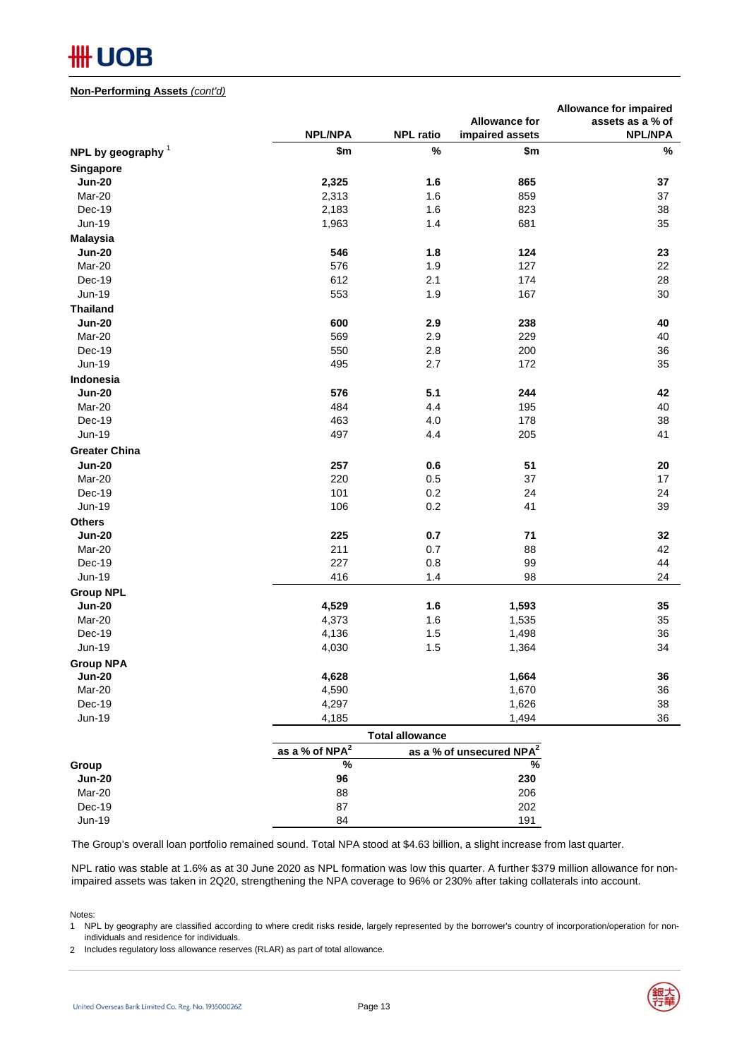#### **Non-Performing Assets** *(cont'd)*

|                                   |                   |                        |                                      | <b>Allowance for impaired</b> |
|-----------------------------------|-------------------|------------------------|--------------------------------------|-------------------------------|
|                                   |                   |                        | <b>Allowance for</b>                 | assets as a % of              |
|                                   | <b>NPL/NPA</b>    | <b>NPL ratio</b>       | impaired assets                      | <b>NPL/NPA</b>                |
| NPL by geography $1$              | \$m\$             | $\%$                   | \$m                                  | $\%$                          |
| Singapore                         |                   |                        |                                      |                               |
| <b>Jun-20</b>                     | 2,325             | 1.6                    | 865                                  | 37                            |
| Mar-20                            | 2,313             | 1.6                    | 859                                  | 37                            |
| Dec-19                            | 2,183             | 1.6                    | 823                                  | 38                            |
| Jun-19                            | 1,963             | 1.4                    | 681                                  | 35                            |
| <b>Malaysia</b>                   |                   |                        |                                      |                               |
| <b>Jun-20</b>                     | 546               | 1.8                    | 124                                  | 23                            |
| Mar-20                            | 576               | 1.9                    | 127                                  | 22                            |
| Dec-19                            | 612               | 2.1                    | 174                                  | 28                            |
| <b>Jun-19</b>                     | 553               | 1.9                    | 167                                  | 30                            |
| <b>Thailand</b>                   |                   |                        |                                      |                               |
| <b>Jun-20</b>                     | 600               | 2.9                    | 238                                  | 40                            |
|                                   | 569               | 2.9                    | 229                                  |                               |
| Mar-20                            |                   |                        |                                      | 40                            |
| Dec-19                            | 550               | 2.8                    | 200                                  | 36                            |
| Jun-19                            | 495               | 2.7                    | 172                                  | 35                            |
| <b>Indonesia</b>                  |                   |                        |                                      |                               |
| <b>Jun-20</b>                     | 576               | 5.1                    | 244                                  | 42                            |
| Mar-20                            | 484               | 4.4                    | 195                                  | 40                            |
| Dec-19                            | 463               | 4.0                    | 178                                  | 38                            |
| Jun-19                            | 497               | 4.4                    | 205                                  | 41                            |
| <b>Greater China</b>              |                   |                        |                                      |                               |
| <b>Jun-20</b>                     | 257               | 0.6                    | 51                                   | 20                            |
| Mar-20                            | 220               | 0.5                    | 37                                   | 17                            |
| Dec-19                            | 101               | 0.2                    | 24                                   | 24                            |
| <b>Jun-19</b>                     | 106               | 0.2                    | 41                                   | 39                            |
| <b>Others</b>                     |                   |                        |                                      |                               |
| <b>Jun-20</b>                     | 225               | 0.7                    | 71                                   | 32                            |
| Mar-20                            | 211               | 0.7                    | 88                                   | 42                            |
| Dec-19                            | 227               | 0.8                    | 99                                   | 44                            |
| Jun-19                            | 416               | $1.4$                  | 98                                   | 24                            |
| <b>Group NPL</b>                  |                   |                        |                                      |                               |
| <b>Jun-20</b>                     | 4,529             | 1.6                    | 1,593                                | 35                            |
| Mar-20                            | 4,373             | 1.6                    | 1,535                                | 35                            |
| Dec-19                            | 4,136             | 1.5                    | 1,498                                | 36                            |
| Jun-19                            | 4,030             | 1.5                    | 1,364                                | 34                            |
|                                   |                   |                        |                                      |                               |
| <b>Group NPA</b><br><b>Jun-20</b> | 4,628             |                        | 1,664                                | 36                            |
| Mar-20                            | 4,590             |                        | 1,670                                | 36                            |
|                                   |                   |                        |                                      |                               |
| Dec-19                            | 4,297             |                        | 1,626                                | 38                            |
| <b>Jun-19</b>                     | 4,185             |                        | 1,494                                | 36                            |
|                                   |                   | <b>Total allowance</b> |                                      |                               |
|                                   | as a % of $NPA^2$ |                        | as a % of unsecured NPA <sup>2</sup> |                               |
| Group                             | $\%$              |                        | $\frac{9}{6}$                        |                               |
| <b>Jun-20</b>                     | 96                |                        | 230                                  |                               |
| Mar-20                            | 88                |                        | 206                                  |                               |
| Dec-19                            | 87                |                        | 202                                  |                               |
| <b>Jun-19</b>                     | 84                |                        | 191                                  |                               |

The Group's overall loan portfolio remained sound. Total NPA stood at \$4.63 billion, a slight increase from last quarter.

NPL ratio was stable at 1.6% as at 30 June 2020 as NPL formation was low this quarter. A further \$379 million allowance for nonimpaired assets was taken in 2Q20, strengthening the NPA coverage to 96% or 230% after taking collaterals into account.

Notes:

1 NPL by geography are classified according to where credit risks reside, largely represented by the borrower's country of incorporation/operation for nonindividuals and residence for individuals.

2 Includes regulatory loss allowance reserves (RLAR) as part of total allowance.

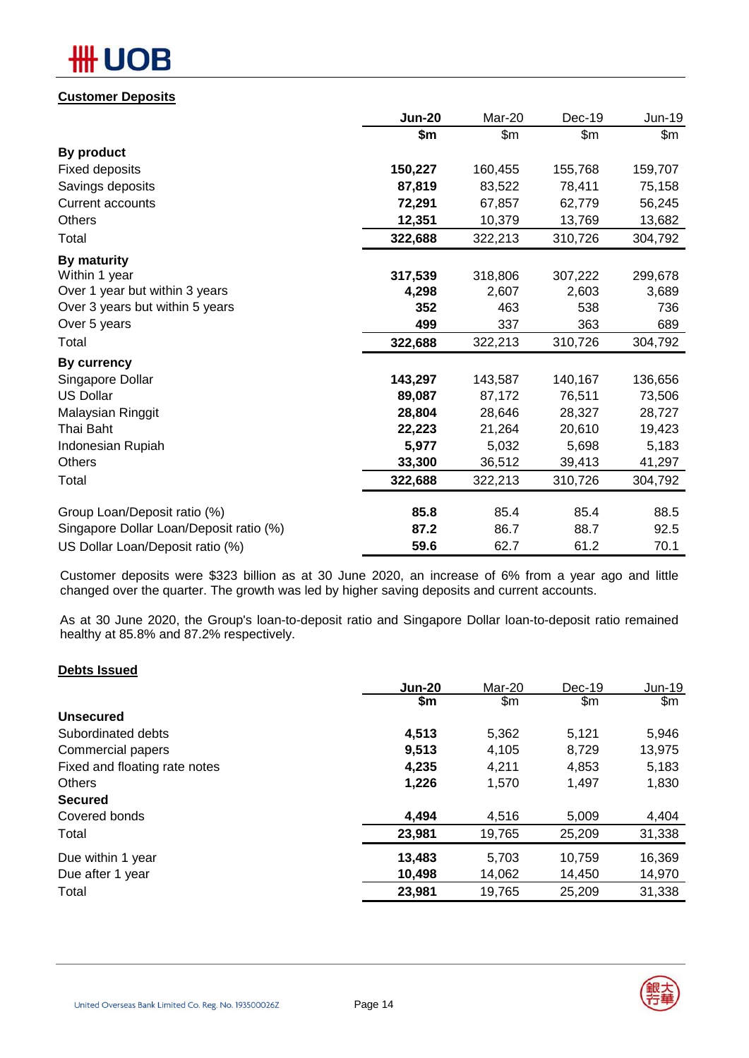# OB

## **Customer Deposits**

|                                         | <b>Jun-20</b> | Mar-20  | Dec-19  | Jun-19  |
|-----------------------------------------|---------------|---------|---------|---------|
|                                         | \$m           | \$m\$   | \$m\$   | \$m     |
| By product                              |               |         |         |         |
| <b>Fixed deposits</b>                   | 150,227       | 160,455 | 155,768 | 159,707 |
| Savings deposits                        | 87,819        | 83,522  | 78,411  | 75,158  |
| <b>Current accounts</b>                 | 72,291        | 67,857  | 62,779  | 56,245  |
| <b>Others</b>                           | 12,351        | 10,379  | 13,769  | 13,682  |
| Total                                   | 322,688       | 322,213 | 310,726 | 304,792 |
| By maturity                             |               |         |         |         |
| Within 1 year                           | 317,539       | 318,806 | 307,222 | 299,678 |
| Over 1 year but within 3 years          | 4,298         | 2,607   | 2,603   | 3,689   |
| Over 3 years but within 5 years         | 352           | 463     | 538     | 736     |
| Over 5 years                            | 499           | 337     | 363     | 689     |
| Total                                   | 322,688       | 322,213 | 310,726 | 304,792 |
| By currency                             |               |         |         |         |
| Singapore Dollar                        | 143,297       | 143,587 | 140,167 | 136,656 |
| <b>US Dollar</b>                        | 89,087        | 87,172  | 76,511  | 73,506  |
| Malaysian Ringgit                       | 28,804        | 28,646  | 28,327  | 28,727  |
| Thai Baht                               | 22,223        | 21,264  | 20,610  | 19,423  |
| Indonesian Rupiah                       | 5,977         | 5,032   | 5,698   | 5,183   |
| <b>Others</b>                           | 33,300        | 36,512  | 39,413  | 41,297  |
| Total                                   | 322,688       | 322,213 | 310,726 | 304,792 |
| Group Loan/Deposit ratio (%)            | 85.8          | 85.4    | 85.4    | 88.5    |
| Singapore Dollar Loan/Deposit ratio (%) | 87.2          | 86.7    | 88.7    | 92.5    |
|                                         | 59.6          | 62.7    |         |         |
| US Dollar Loan/Deposit ratio (%)        |               |         | 61.2    | 70.1    |

Customer deposits were \$323 billion as at 30 June 2020, an increase of 6% from a year ago and little changed over the quarter. The growth was led by higher saving deposits and current accounts.

As at 30 June 2020, the Group's loan-to-deposit ratio and Singapore Dollar loan-to-deposit ratio remained healthy at 85.8% and 87.2% respectively.

## **Debts Issued**

|                               | <b>Jun-20</b> | Mar-20 | Dec-19 | $Jun-19$ |
|-------------------------------|---------------|--------|--------|----------|
|                               | \$m           | \$m    | \$m    | \$m\$    |
| <b>Unsecured</b>              |               |        |        |          |
| Subordinated debts            | 4,513         | 5,362  | 5,121  | 5,946    |
| Commercial papers             | 9,513         | 4,105  | 8,729  | 13,975   |
| Fixed and floating rate notes | 4,235         | 4,211  | 4,853  | 5,183    |
| <b>Others</b>                 | 1,226         | 1,570  | 1,497  | 1,830    |
| <b>Secured</b>                |               |        |        |          |
| Covered bonds                 | 4,494         | 4,516  | 5,009  | 4,404    |
| Total                         | 23,981        | 19,765 | 25,209 | 31,338   |
| Due within 1 year             | 13,483        | 5.703  | 10,759 | 16,369   |
| Due after 1 year              | 10,498        | 14,062 | 14,450 | 14,970   |
| Total                         | 23,981        | 19,765 | 25,209 | 31,338   |
|                               |               |        |        |          |

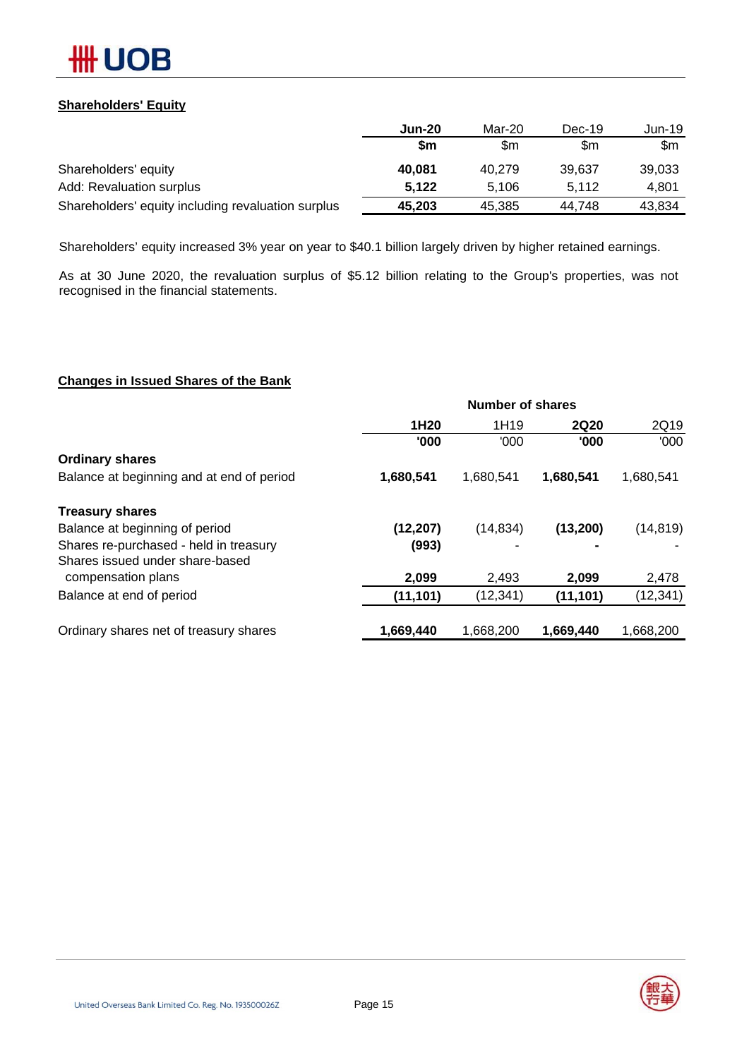

## **Shareholders' Equity**

|                                                    | <b>Jun-20</b> | Mar-20 | $Dec-19$ | Jun-19 |
|----------------------------------------------------|---------------|--------|----------|--------|
|                                                    | \$m           | \$m    | \$m      | \$m    |
| Shareholders' equity                               | 40,081        | 40.279 | 39.637   | 39,033 |
| Add: Revaluation surplus                           | 5,122         | 5.106  | 5.112    | 4.801  |
| Shareholders' equity including revaluation surplus | 45,203        | 45,385 | 44.748   | 43,834 |

Shareholders' equity increased 3% year on year to \$40.1 billion largely driven by higher retained earnings.

As at 30 June 2020, the revaluation surplus of \$5.12 billion relating to the Group's properties, was not recognised in the financial statements.

## **Changes in Issued Shares of the Bank**

|                                           | <b>Number of shares</b> |           |             |           |  |  |
|-------------------------------------------|-------------------------|-----------|-------------|-----------|--|--|
|                                           | 1H <sub>20</sub>        | 1H19      | <b>2Q20</b> | 2Q19      |  |  |
|                                           | '000                    | '000      | '000        | '000      |  |  |
| <b>Ordinary shares</b>                    |                         |           |             |           |  |  |
| Balance at beginning and at end of period | 1,680,541               | 1,680,541 | 1,680,541   | 1,680,541 |  |  |
| <b>Treasury shares</b>                    |                         |           |             |           |  |  |
| Balance at beginning of period            | (12, 207)               | (14, 834) | (13,200)    | (14, 819) |  |  |
| Shares re-purchased - held in treasury    | (993)                   |           |             |           |  |  |
| Shares issued under share-based           |                         |           |             |           |  |  |
| compensation plans                        | 2,099                   | 2,493     | 2,099       | 2,478     |  |  |
| Balance at end of period                  | (11, 101)               | (12, 341) | (11, 101)   | (12, 341) |  |  |
| Ordinary shares net of treasury shares    | 1,669,440               | 1,668,200 | 1,669,440   | 1,668,200 |  |  |

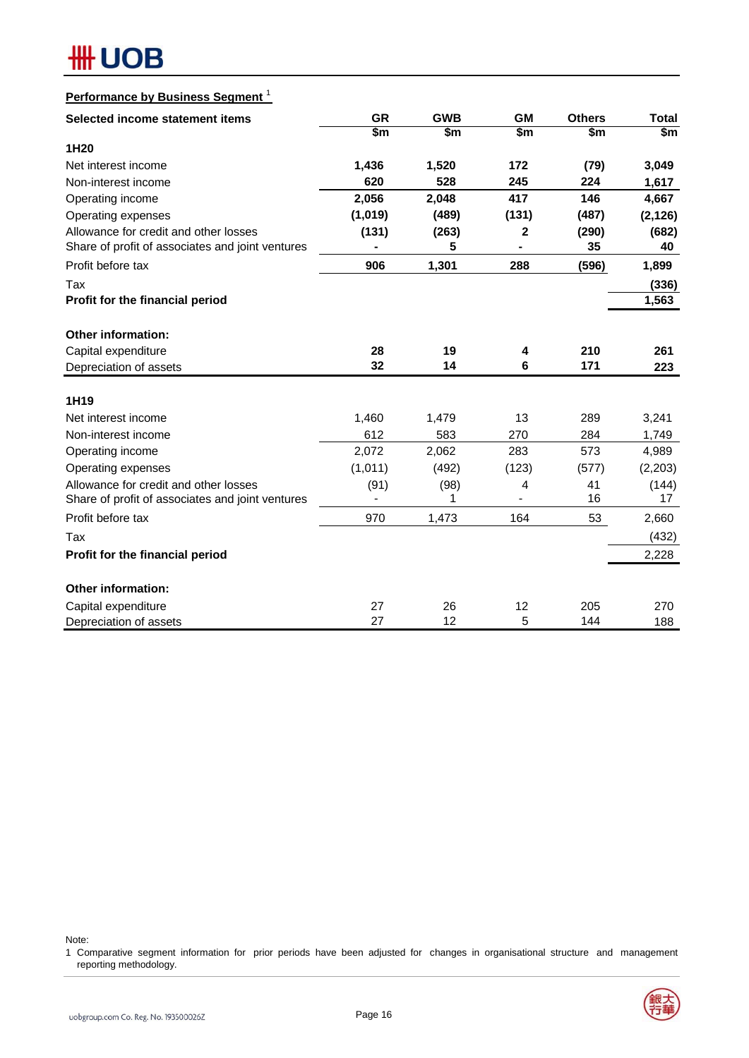

## **Performance by Business Segment** <sup>1</sup>

| Selected income statement items                  | <b>GR</b>     | <b>GWB</b> | <b>GM</b>    | <b>Others</b> | <b>Total</b> |
|--------------------------------------------------|---------------|------------|--------------|---------------|--------------|
|                                                  | $\frac{2}{3}$ | \$m        | \$m          | \$m           | \$m\$        |
| 1H20                                             |               |            |              |               |              |
| Net interest income                              | 1,436         | 1,520      | 172          | (79)          | 3,049        |
| Non-interest income                              | 620           | 528        | 245          | 224           | 1,617        |
| Operating income                                 | 2,056         | 2,048      | 417          | 146           | 4,667        |
| Operating expenses                               | (1,019)       | (489)      | (131)        | (487)         | (2, 126)     |
| Allowance for credit and other losses            | (131)         | (263)      | $\mathbf{2}$ | (290)         | (682)        |
| Share of profit of associates and joint ventures |               | 5          |              | 35            | 40           |
| Profit before tax                                | 906           | 1,301      | 288          | (596)         | 1,899        |
| Tax                                              |               |            |              |               | (336)        |
| Profit for the financial period                  |               |            |              |               | 1,563        |
| Other information:                               |               |            |              |               |              |
| Capital expenditure                              | 28            | 19         | 4            | 210           | 261          |
| Depreciation of assets                           | 32            | 14         | 6            | 171           | 223          |
|                                                  |               |            |              |               |              |
| 1H <sub>19</sub>                                 |               |            |              |               |              |
| Net interest income                              | 1,460         | 1,479      | 13           | 289           | 3,241        |
| Non-interest income                              | 612           | 583        | 270          | 284           | 1,749        |
| Operating income                                 | 2,072         | 2,062      | 283          | 573           | 4,989        |
| Operating expenses                               | (1,011)       | (492)      | (123)        | (577)         | (2,203)      |
| Allowance for credit and other losses            | (91)          | (98)       | 4            | 41            | (144)        |
| Share of profit of associates and joint ventures |               | 1          |              | 16            | 17           |
| Profit before tax                                | 970           | 1,473      | 164          | 53            | 2,660        |
| Tax                                              |               |            |              |               | (432)        |
| Profit for the financial period                  |               |            |              |               | 2,228        |
| Other information:                               |               |            |              |               |              |
| Capital expenditure                              | 27            | 26         | 12           | 205           | 270          |
| Depreciation of assets                           | 27            | 12         | 5            | 144           | 188          |

Note:

1 Comparative segment information for prior periods have been adjusted for changes in organisational structure and management reporting methodology.

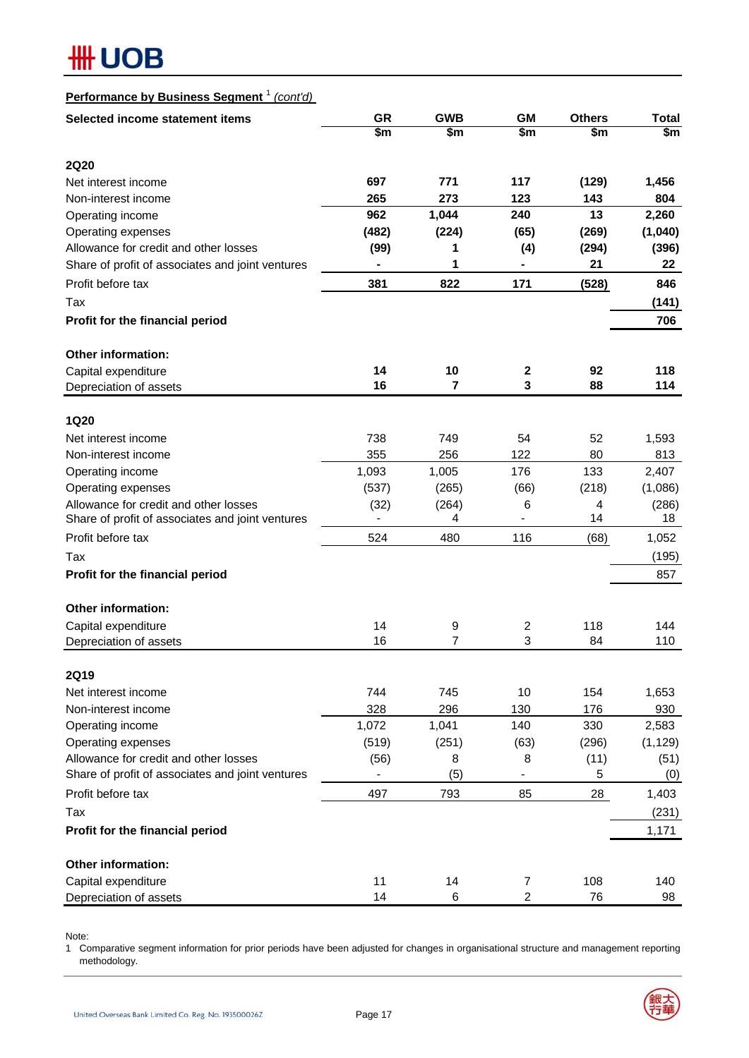| Performance by Business Segment <sup>1</sup><br>(cont'd) |           |                |                        |               |              |
|----------------------------------------------------------|-----------|----------------|------------------------|---------------|--------------|
| Selected income statement items                          | <b>GR</b> | <b>GWB</b>     | <b>GM</b>              | <b>Others</b> | <b>Total</b> |
|                                                          | \$m       | \$m            | $\overline{\text{sm}}$ | \$m           | \$m\$        |
| <b>2Q20</b>                                              |           |                |                        |               |              |
| Net interest income                                      | 697       | 771            | 117                    | (129)         | 1,456        |
| Non-interest income                                      | 265       | 273            | 123                    | 143           | 804          |
| Operating income                                         | 962       | 1,044          | 240                    | 13            | 2,260        |
| Operating expenses                                       | (482)     | (224)          | (65)                   | (269)         | (1,040)      |
| Allowance for credit and other losses                    | (99)      | 1              | (4)                    | (294)         | (396)        |
| Share of profit of associates and joint ventures         |           | 1              |                        | 21            | 22           |
|                                                          |           |                |                        |               |              |
| Profit before tax                                        | 381       | 822            | 171                    | (528)         | 846          |
| Tax                                                      |           |                |                        |               | (141)        |
| Profit for the financial period                          |           |                |                        |               | 706          |
| <b>Other information:</b>                                |           |                |                        |               |              |
| Capital expenditure                                      | 14        | 10             | 2                      | 92            | 118          |
| Depreciation of assets                                   | 16        | 7              | 3                      | 88            | 114          |
|                                                          |           |                |                        |               |              |
| <b>1Q20</b>                                              |           |                |                        |               |              |
| Net interest income                                      | 738       | 749            | 54                     | 52            | 1,593        |
| Non-interest income                                      | 355       | 256            | 122                    | 80            | 813          |
| Operating income                                         | 1,093     | 1,005          | 176                    | 133           | 2,407        |
| Operating expenses                                       | (537)     | (265)          | (66)                   | (218)         | (1,086)      |
| Allowance for credit and other losses                    | (32)      | (264)          | 6                      | 4             | (286)        |
| Share of profit of associates and joint ventures         |           | 4              |                        | 14            | 18           |
| Profit before tax                                        | 524       | 480            | 116                    | (68)          | 1,052        |
| Tax                                                      |           |                |                        |               | (195)        |
| Profit for the financial period                          |           |                |                        |               | 857          |
| Other information:                                       |           |                |                        |               |              |
| Capital expenditure                                      | 14        | 9              | 2                      | 118           | 144          |
| Depreciation of assets                                   | 16        | $\overline{7}$ | 3                      | 84            | 110          |
|                                                          |           |                |                        |               |              |
| <b>2Q19</b>                                              |           |                |                        |               |              |
| Net interest income                                      | 744       | 745            | 10                     | 154           | 1,653        |
| Non-interest income                                      | 328       | 296            | 130                    | 176           | 930          |
| Operating income                                         | 1,072     | 1,041          | 140                    | 330           | 2,583        |
| Operating expenses                                       | (519)     | (251)          | (63)                   | (296)         | (1, 129)     |
| Allowance for credit and other losses                    | (56)      | 8              | 8                      | (11)          | (51)         |
| Share of profit of associates and joint ventures         |           | (5)            |                        | 5             | (0)          |
| Profit before tax                                        | 497       | 793            | 85                     | 28            | 1,403        |
| Tax                                                      |           |                |                        |               | (231)        |
| Profit for the financial period                          |           |                |                        |               | 1,171        |
|                                                          |           |                |                        |               |              |
| <b>Other information:</b>                                |           |                |                        |               |              |
| Capital expenditure                                      | 11        | 14             | $\overline{7}$         | 108           | 140          |
| Depreciation of assets                                   | 14        | 6              | $\overline{2}$         | 76            | 98           |

Note:

1 Comparative segment information for prior periods have been adjusted for changes in organisational structure and management reporting methodology.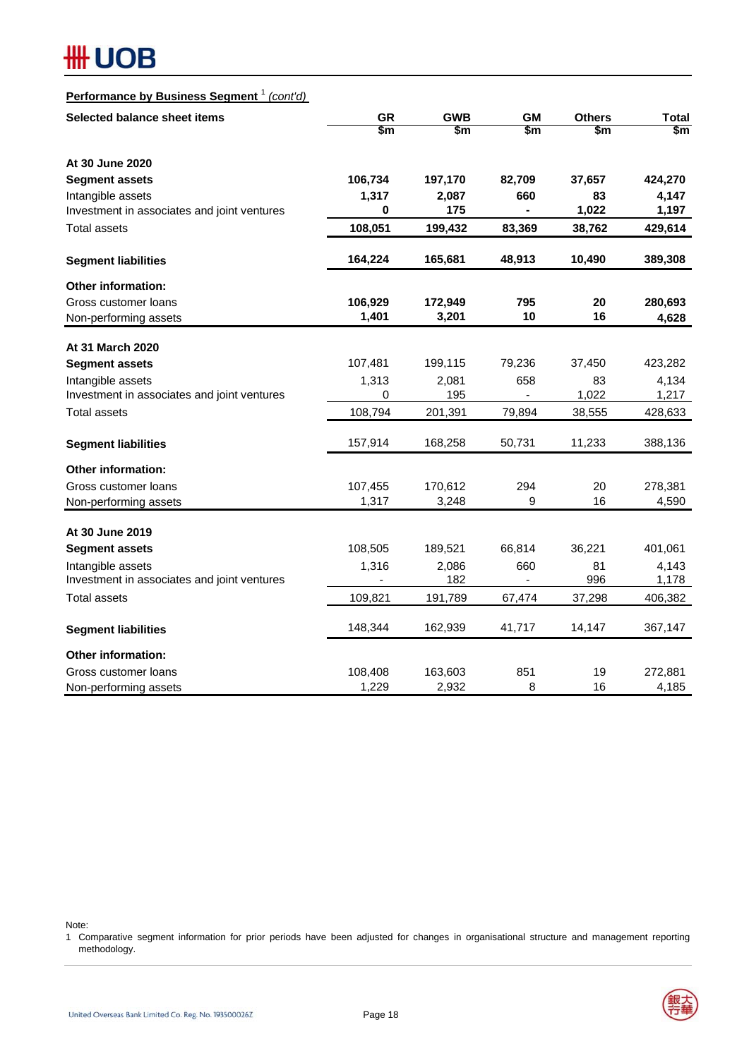## **#H UOB**

## **Performance by Business Segment** <sup>1</sup> *(cont'd)*

| Selected balance sheet items                | <b>GR</b>   | <b>GWB</b> | <b>GM</b>     | <b>Others</b> | <b>Total</b> |
|---------------------------------------------|-------------|------------|---------------|---------------|--------------|
|                                             | \$m         | \$m        | $\frac{2}{3}$ | \$m           | \$m          |
| At 30 June 2020                             |             |            |               |               |              |
| <b>Segment assets</b>                       | 106,734     | 197,170    | 82,709        | 37,657        | 424,270      |
| Intangible assets                           | 1,317       | 2,087      | 660           | 83            | 4,147        |
| Investment in associates and joint ventures | 0           | 175        |               | 1,022         | 1,197        |
| <b>Total assets</b>                         | 108,051     | 199,432    | 83,369        | 38,762        | 429,614      |
| <b>Segment liabilities</b>                  | 164,224     | 165,681    | 48,913        | 10,490        | 389,308      |
| Other information:                          |             |            |               |               |              |
| Gross customer loans                        | 106,929     | 172,949    | 795           | 20            | 280,693      |
| Non-performing assets                       | 1,401       | 3,201      | 10            | 16            | 4,628        |
| At 31 March 2020                            |             |            |               |               |              |
| <b>Segment assets</b>                       | 107,481     | 199,115    | 79,236        | 37,450        | 423,282      |
| Intangible assets                           | 1,313       | 2,081      | 658           | 83            | 4,134        |
| Investment in associates and joint ventures | $\mathbf 0$ | 195        | ä,            | 1,022         | 1,217        |
| <b>Total assets</b>                         | 108,794     | 201,391    | 79,894        | 38,555        | 428,633      |
| <b>Segment liabilities</b>                  | 157,914     | 168,258    | 50,731        | 11,233        | 388,136      |
| Other information:                          |             |            |               |               |              |
| Gross customer loans                        | 107,455     | 170,612    | 294           | 20            | 278,381      |
| Non-performing assets                       | 1,317       | 3,248      | 9             | 16            | 4,590        |
| At 30 June 2019                             |             |            |               |               |              |
| <b>Segment assets</b>                       | 108,505     | 189,521    | 66,814        | 36,221        | 401,061      |
| Intangible assets                           | 1,316       | 2,086      | 660           | 81            | 4,143        |
| Investment in associates and joint ventures |             | 182        | ä,            | 996           | 1,178        |
| <b>Total assets</b>                         | 109,821     | 191,789    | 67,474        | 37,298        | 406,382      |
| <b>Segment liabilities</b>                  | 148,344     | 162,939    | 41,717        | 14,147        | 367,147      |
| <b>Other information:</b>                   |             |            |               |               |              |
| Gross customer loans                        | 108,408     | 163,603    | 851           | 19            | 272,881      |
| Non-performing assets                       | 1,229       | 2,932      | 8             | 16            | 4,185        |

Note:

1 Comparative segment information for prior periods have been adjusted for changes in organisational structure and management reporting methodology.

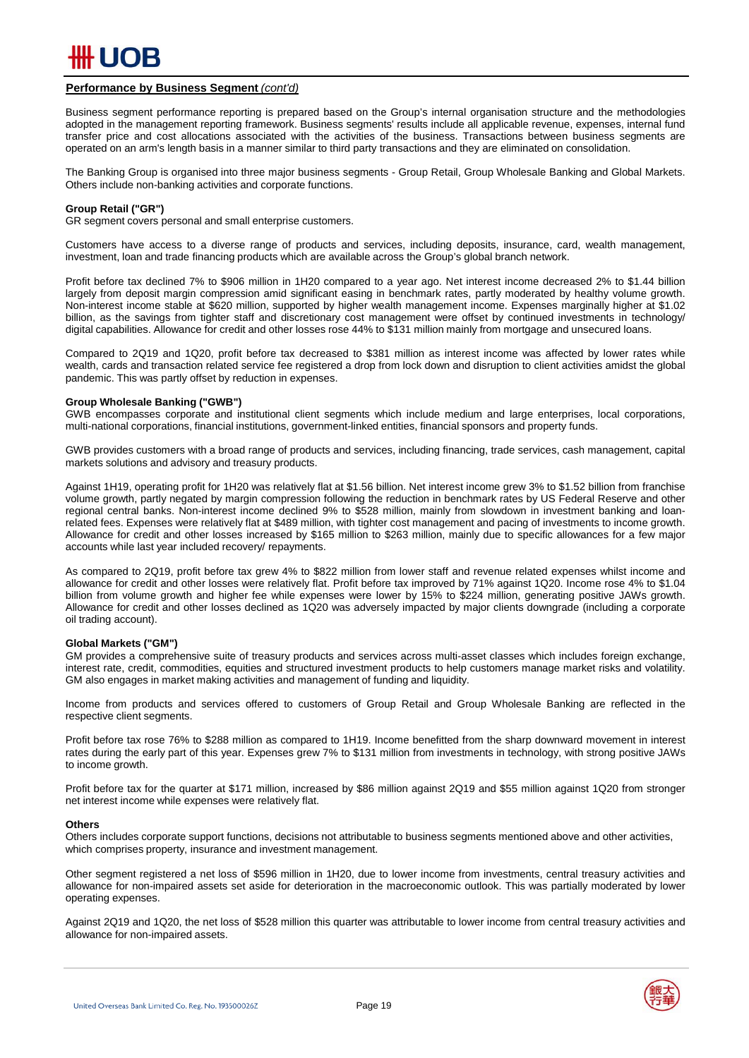

#### **Performance by Business Segment** *(cont'd)*

Business segment performance reporting is prepared based on the Group's internal organisation structure and the methodologies adopted in the management reporting framework. Business segments' results include all applicable revenue, expenses, internal fund transfer price and cost allocations associated with the activities of the business. Transactions between business segments are operated on an arm's length basis in a manner similar to third party transactions and they are eliminated on consolidation.

The Banking Group is organised into three major business segments - Group Retail, Group Wholesale Banking and Global Markets. Others include non-banking activities and corporate functions.

#### **Group Retail ("GR")**

GR segment covers personal and small enterprise customers.

Customers have access to a diverse range of products and services, including deposits, insurance, card, wealth management, investment, loan and trade financing products which are available across the Group's global branch network.

Profit before tax declined 7% to \$906 million in 1H20 compared to a year ago. Net interest income decreased 2% to \$1.44 billion largely from deposit margin compression amid significant easing in benchmark rates, partly moderated by healthy volume growth. Non-interest income stable at \$620 million, supported by higher wealth management income. Expenses marginally higher at \$1.02 billion, as the savings from tighter staff and discretionary cost management were offset by continued investments in technology/ digital capabilities. Allowance for credit and other losses rose 44% to \$131 million mainly from mortgage and unsecured loans.

Compared to 2Q19 and 1Q20, profit before tax decreased to \$381 million as interest income was affected by lower rates while wealth, cards and transaction related service fee registered a drop from lock down and disruption to client activities amidst the global pandemic. This was partly offset by reduction in expenses.

#### **Group Wholesale Banking ("GWB")**

GWB encompasses corporate and institutional client segments which include medium and large enterprises, local corporations, multi-national corporations, financial institutions, government-linked entities, financial sponsors and property funds.

GWB provides customers with a broad range of products and services, including financing, trade services, cash management, capital markets solutions and advisory and treasury products.

Against 1H19, operating profit for 1H20 was relatively flat at \$1.56 billion. Net interest income grew 3% to \$1.52 billion from franchise volume growth, partly negated by margin compression following the reduction in benchmark rates by US Federal Reserve and other regional central banks. Non-interest income declined 9% to \$528 million, mainly from slowdown in investment banking and loanrelated fees. Expenses were relatively flat at \$489 million, with tighter cost management and pacing of investments to income growth. Allowance for credit and other losses increased by \$165 million to \$263 million, mainly due to specific allowances for a few major accounts while last year included recovery/ repayments.

As compared to 2Q19, profit before tax grew 4% to \$822 million from lower staff and revenue related expenses whilst income and allowance for credit and other losses were relatively flat. Profit before tax improved by 71% against 1Q20. Income rose 4% to \$1.04 billion from volume growth and higher fee while expenses were lower by 15% to \$224 million, generating positive JAWs growth. Allowance for credit and other losses declined as 1Q20 was adversely impacted by major clients downgrade (including a corporate oil trading account).

#### **Global Markets ("GM")**

GM provides a comprehensive suite of treasury products and services across multi-asset classes which includes foreign exchange, interest rate, credit, commodities, equities and structured investment products to help customers manage market risks and volatility. GM also engages in market making activities and management of funding and liquidity.

Income from products and services offered to customers of Group Retail and Group Wholesale Banking are reflected in the respective client segments.

Profit before tax rose 76% to \$288 million as compared to 1H19. Income benefitted from the sharp downward movement in interest rates during the early part of this year. Expenses grew 7% to \$131 million from investments in technology, with strong positive JAWs to income growth.

Profit before tax for the quarter at \$171 million, increased by \$86 million against 2Q19 and \$55 million against 1Q20 from stronger net interest income while expenses were relatively flat.

#### **Others**

Others includes corporate support functions, decisions not attributable to business segments mentioned above and other activities, which comprises property, insurance and investment management.

Other segment registered a net loss of \$596 million in 1H20, due to lower income from investments, central treasury activities and allowance for non-impaired assets set aside for deterioration in the macroeconomic outlook. This was partially moderated by lower operating expenses.

Against 2Q19 and 1Q20, the net loss of \$528 million this quarter was attributable to lower income from central treasury activities and allowance for non-impaired assets.

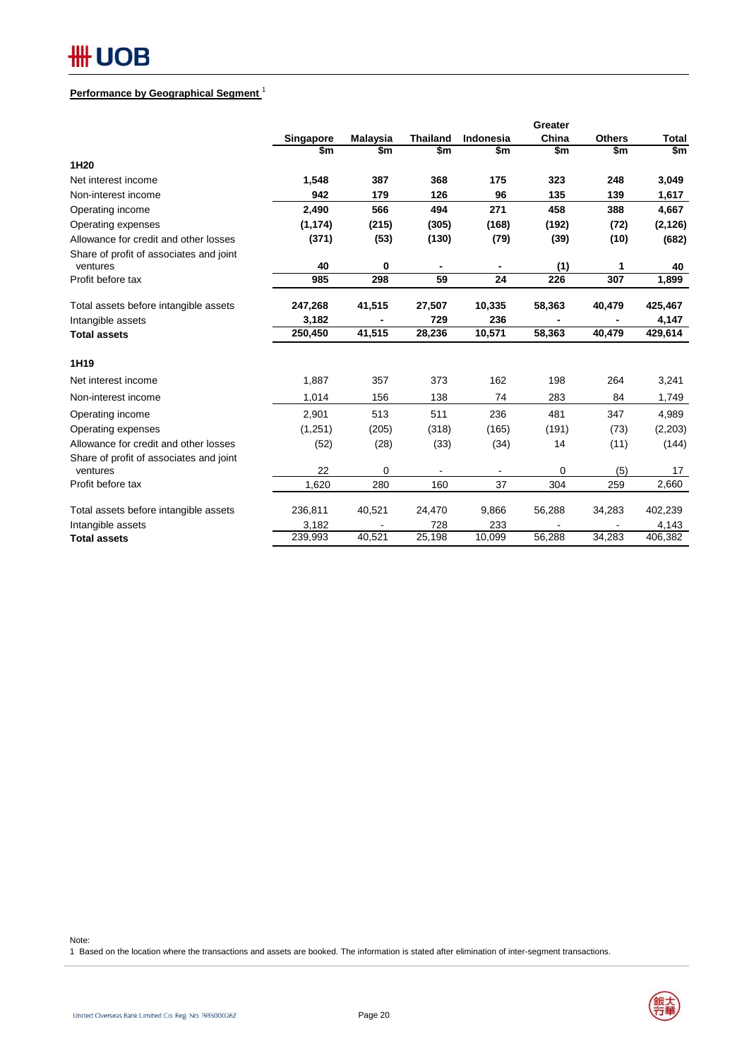## **Performance by Geographical Segment** <sup>1</sup>

|                                                     |           |                 |                 |           | Greater |               |              |
|-----------------------------------------------------|-----------|-----------------|-----------------|-----------|---------|---------------|--------------|
|                                                     | Singapore | <b>Malaysia</b> | <b>Thailand</b> | Indonesia | China   | <b>Others</b> | <b>Total</b> |
|                                                     | \$m       | \$m             | \$m             | \$m       | \$m     | \$m           | \$m          |
| 1H20                                                |           |                 |                 |           |         |               |              |
| Net interest income                                 | 1,548     | 387             | 368             | 175       | 323     | 248           | 3,049        |
| Non-interest income                                 | 942       | 179             | 126             | 96        | 135     | 139           | 1,617        |
| Operating income                                    | 2,490     | 566             | 494             | 271       | 458     | 388           | 4,667        |
| Operating expenses                                  | (1, 174)  | (215)           | (305)           | (168)     | (192)   | (72)          | (2, 126)     |
| Allowance for credit and other losses               | (371)     | (53)            | (130)           | (79)      | (39)    | (10)          | (682)        |
| Share of profit of associates and joint<br>ventures | 40        | 0               |                 |           | (1)     | 1             | 40           |
| Profit before tax                                   | 985       | 298             | 59              | 24        | 226     | 307           | 1,899        |
| Total assets before intangible assets               | 247,268   | 41,515          | 27,507          | 10,335    | 58,363  | 40,479        | 425,467      |
| Intangible assets                                   | 3,182     |                 | 729             | 236       |         |               | 4,147        |
| <b>Total assets</b>                                 | 250,450   | 41,515          | 28,236          | 10,571    | 58,363  | 40,479        | 429,614      |
| 1H19                                                |           |                 |                 |           |         |               |              |
| Net interest income                                 | 1,887     | 357             | 373             | 162       | 198     | 264           | 3,241        |
| Non-interest income                                 | 1.014     | 156             | 138             | 74        | 283     | 84            | 1,749        |
| Operating income                                    | 2,901     | 513             | 511             | 236       | 481     | 347           | 4,989        |
| Operating expenses                                  | (1,251)   | (205)           | (318)           | (165)     | (191)   | (73)          | (2,203)      |
| Allowance for credit and other losses               | (52)      | (28)            | (33)            | (34)      | 14      | (11)          | (144)        |
| Share of profit of associates and joint<br>ventures | 22        | 0               |                 |           | 0       | (5)           | 17           |
| Profit before tax                                   | 1,620     | 280             | 160             | 37        | 304     | 259           | 2,660        |
| Total assets before intangible assets               | 236,811   | 40,521          | 24,470          | 9,866     | 56,288  | 34,283        | 402,239      |
| Intangible assets                                   | 3,182     |                 | 728             | 233       |         |               | 4,143        |
| <b>Total assets</b>                                 | 239,993   | 40,521          | 25,198          | 10,099    | 56,288  | 34,283        | 406,382      |

Note:

1 Based on the location where the transactions and assets are booked. The information is stated after elimination of inter-segment transactions.

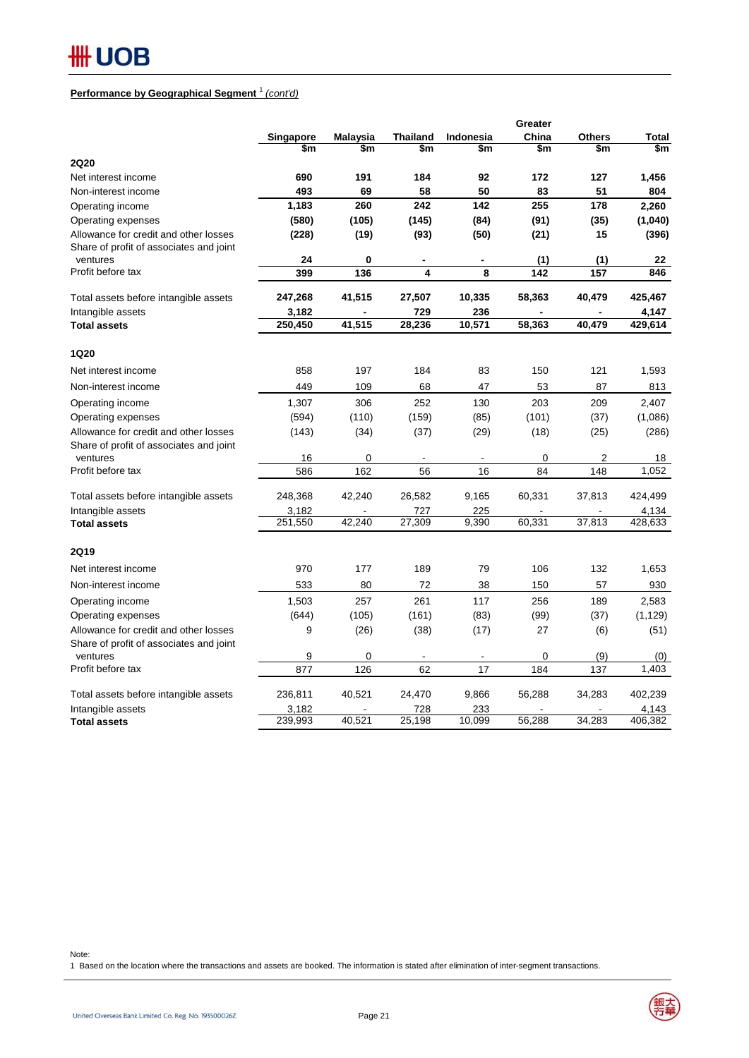## **Performance by Geographical Segment** <sup>1</sup> *(cont'd)*

|                                                                                  |                  |                 |                 |                          | Greater |                                                                                                                                                                                |                  |
|----------------------------------------------------------------------------------|------------------|-----------------|-----------------|--------------------------|---------|--------------------------------------------------------------------------------------------------------------------------------------------------------------------------------|------------------|
|                                                                                  | Singapore        | <b>Malaysia</b> | <b>Thailand</b> | <b>Indonesia</b>         | China   | <b>Others</b>                                                                                                                                                                  | Total            |
|                                                                                  | \$m              | \$m             | \$m             | \$m                      | \$m     | \$m<br>127<br>51<br>178<br>(35)<br>15<br>(1)<br>157<br>40,479<br>40,479<br>121<br>87<br>209<br>(37)<br>(25)<br>2<br>148<br>37,813<br>37,813<br>132<br>57<br>189<br>(37)<br>(6) | \$m              |
| <b>2Q20</b>                                                                      |                  |                 |                 |                          |         |                                                                                                                                                                                |                  |
| Net interest income                                                              | 690              | 191             | 184             | 92                       | 172     |                                                                                                                                                                                | 1,456            |
| Non-interest income                                                              | 493              | 69              | 58              | 50                       | 83      |                                                                                                                                                                                | 804              |
| Operating income                                                                 | 1,183            | 260             | 242             | 142                      | 255     |                                                                                                                                                                                | 2,260            |
| Operating expenses                                                               | (580)            | (105)           | (145)           | (84)                     | (91)    |                                                                                                                                                                                | (1,040)          |
| Allowance for credit and other losses<br>Share of profit of associates and joint | (228)            | (19)            | (93)            | (50)                     | (21)    |                                                                                                                                                                                | (396)            |
| ventures<br>Profit before tax                                                    | 24               | 0               |                 | $\blacksquare$           | (1)     |                                                                                                                                                                                | 22<br>846        |
|                                                                                  | 399              | 136             | 4               | 8                        | 142     |                                                                                                                                                                                |                  |
| Total assets before intangible assets                                            | 247,268          | 41,515          | 27,507          | 10,335                   | 58,363  |                                                                                                                                                                                | 425,467          |
| Intangible assets                                                                | 3,182            |                 | 729             | 236                      |         |                                                                                                                                                                                | 4,147            |
| <b>Total assets</b>                                                              | 250,450          | 41,515          | 28,236          | 10,571                   | 58,363  |                                                                                                                                                                                | 429,614          |
| 1Q20                                                                             |                  |                 |                 |                          |         |                                                                                                                                                                                |                  |
| Net interest income                                                              | 858              | 197             | 184             | 83                       | 150     |                                                                                                                                                                                | 1,593            |
| Non-interest income                                                              | 449              | 109             | 68              | 47                       | 53      |                                                                                                                                                                                | 813              |
| Operating income                                                                 | 1,307            | 306             | 252             | 130                      | 203     |                                                                                                                                                                                | 2,407            |
| Operating expenses                                                               | (594)            | (110)           | (159)           | (85)                     | (101)   |                                                                                                                                                                                | (1,086)          |
| Allowance for credit and other losses                                            | (143)            | (34)            | (37)            | (29)                     | (18)    |                                                                                                                                                                                | (286)            |
| Share of profit of associates and joint                                          |                  |                 |                 |                          |         |                                                                                                                                                                                |                  |
| ventures                                                                         | 16               | 0               |                 | $\overline{\phantom{a}}$ | 0       |                                                                                                                                                                                | 18               |
| Profit before tax                                                                | 586              | 162             | 56              | 16                       | 84      |                                                                                                                                                                                | 1,052            |
| Total assets before intangible assets                                            | 248,368          | 42,240          | 26,582          | 9,165                    | 60,331  |                                                                                                                                                                                | 424,499          |
| Intangible assets                                                                | 3,182            |                 | 727             | 225                      |         |                                                                                                                                                                                | 4,134            |
| <b>Total assets</b>                                                              | 251,550          | 42,240          | 27,309          | 9,390                    | 60,331  |                                                                                                                                                                                | 428,633          |
| <b>2Q19</b>                                                                      |                  |                 |                 |                          |         |                                                                                                                                                                                |                  |
| Net interest income                                                              | 970              | 177             | 189             | 79                       | 106     |                                                                                                                                                                                | 1,653            |
| Non-interest income                                                              | 533              | 80              | 72              | 38                       | 150     |                                                                                                                                                                                | 930              |
| Operating income                                                                 | 1,503            | 257             | 261             | 117                      | 256     |                                                                                                                                                                                | 2,583            |
| Operating expenses                                                               | (644)            | (105)           | (161)           | (83)                     | (99)    |                                                                                                                                                                                | (1, 129)         |
| Allowance for credit and other losses                                            | 9                | (26)            | (38)            | (17)                     | 27      |                                                                                                                                                                                | (51)             |
| Share of profit of associates and joint<br>ventures                              | 9                | 0               |                 |                          | 0       | (9)                                                                                                                                                                            | (0)              |
| Profit before tax                                                                | 877              | 126             | 62              | 17                       | 184     | 137                                                                                                                                                                            | 1,403            |
|                                                                                  |                  |                 |                 |                          |         |                                                                                                                                                                                |                  |
| Total assets before intangible assets                                            | 236,811          | 40,521          | 24,470          | 9,866                    | 56,288  | 34,283                                                                                                                                                                         | 402.239          |
| Intangible assets                                                                | 3,182<br>239,993 | 40,521          | 728             | 233                      |         | 34,283                                                                                                                                                                         | 4,143<br>406,382 |
| <b>Total assets</b>                                                              |                  |                 | 25,198          | 10,099                   | 56,288  |                                                                                                                                                                                |                  |

Note:

1 Based on the location where the transactions and assets are booked. The information is stated after elimination of inter-segment transactions.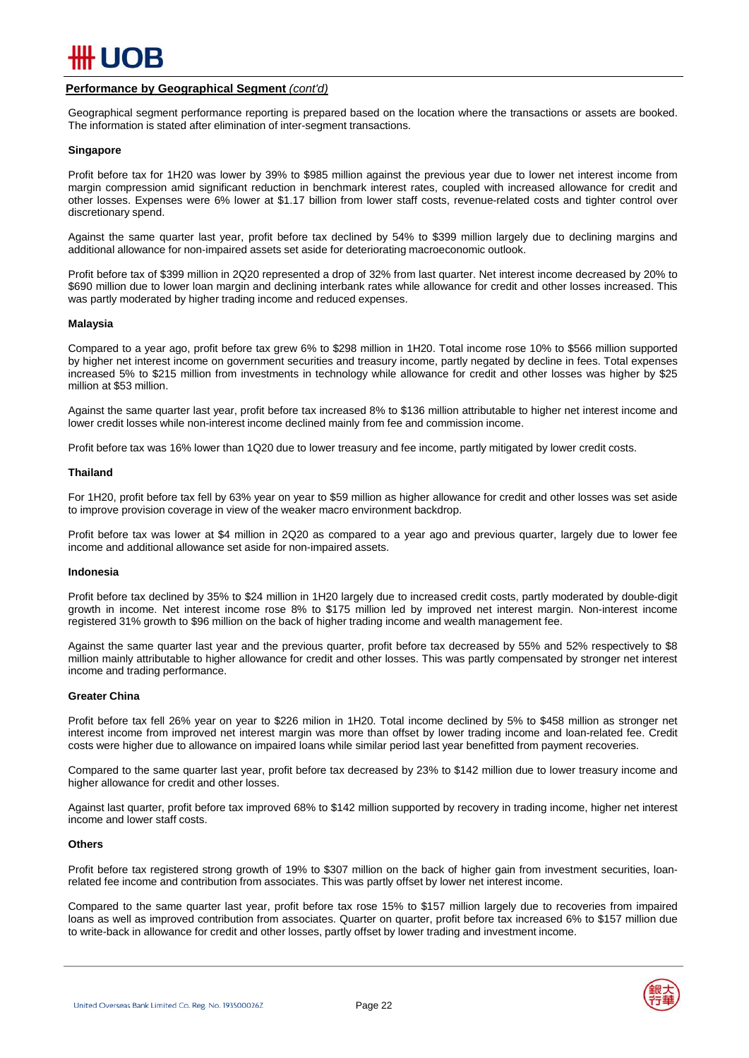

#### **Performance by Geographical Segment** *(cont'd)*

Geographical segment performance reporting is prepared based on the location where the transactions or assets are booked. The information is stated after elimination of inter-segment transactions. Geographical segment performance reporting is prepared based on the location where the transactions or assets are booked.<br>The information is stated after elimination of inter-segment transactions.<br>Singapore

#### **Singapore**

margin compression amid significant reduction in benchmark interest rates, coupled with increased allowance for credit and other losses. Expenses were 6% lower at \$1.17 billion from lower staff costs, revenue-related costs and tighter control over<br>discretionary spend. discretionary spend.

Against the same quarter last year, profit before tax declined by 54% to \$399 million largely due to declining margins and additional allowance for non-impaired assets set aside for deteriorating macroeconomic outlook.

\$690 million due to lower loan margin and declining interbank rates while allowance for credit and other losses increased. This<br>was partly moderated by higher trading income and reduced expenses. was partly moderated by higher trading income and reduced expenses. Profit before tax of \$399 million in 2Q20 represented a drop of 32% from last quarter. Net interest income decreased by 20% to

#### **Malaysia**

by higher net interest income on government securities and treasury income, partly negated by decline in fees. Total expenses increased 5% to \$215 million from investments in technology while allowance for credit and other losses was higher by \$25<br>million at \$53 million. million at \$53 million. Compared to a year ago, profit before tax grew 6% to \$298 million in 1H20. Total income rose 10% to \$566 million supported

lower credit losses while non-interest income declined mainly from fee and commission income. Against the same quarter last year, profit before tax increased 8% to \$136 million attributable to higher net interest income and

Profit before tax was 16% lower than 1Q20 due to lower treasury and fee income, partly mitigated by lower credit costs.

#### **Thailand**

to improve provision coverage in view of the weaker macro environment backdrop. For 1H20, profit before tax fell by 63% year on year to \$59 million as higher allowance for credit and other losses was set aside

income and additional allowance set aside for non-impaired assets. Profit before tax was lower at \$4 million in 2Q20 as compared to a year ago and previous quarter, largely due to lower fee

#### **Indonesia**

growth in income. Net interest income rose 8% to \$175 million led by improved net interest margin. Non-interest income registered 31% growth to \$96 million on the back of higher trading income and wealth management fee. Profit before tax declined by 35% to \$24 million in 1H20 largely due to increased credit costs, partly moderated by double-digit

million mainly attributable to higher allowance for credit and other losses. This was partly compensated by stronger net interest income and trading performance. This was partly competitive and other losses interests and other losses. This was partly competitive and trading performance. Against the same quarter last year and the previous quarter, profit before tax decreased by 55% and 52% respectively to \$8

#### **Greater China**

interest income from improved net interest margin was more than offset by lower trading income and loan-related fee. Credit interest income from improved net interest margin was more than offset by lower trading income and loan-related fee. Credit<br>costs were higher due to allowance on impaired loans while similar period last year benefitted fro Profit before tax fell 26% year on year to \$226 milion in 1H20. Total income declined by 5% to \$458 million as stronger net

higher allowance for credit and other losses. The same of the state of the state of to higher allowance for credit and other losses. Compared to the same quarter last year, profit before tax decreased by 23% to \$142 million due to lower treasury income and

income and lower staff costs. The formation supported by recovery in the interest income, higher net interest in Against last quarter, profit before tax improved 68% to \$142 million supported by recovery in trading income, higher net interest

#### **Others**

related fee income and contribution from associates. This was partly offset by lower net interest income. Profit before tax registered strong growth of 19% to \$307 million on the back of higher gain from investment securities, loan-

loans as well as improved contribution from associates. Quarter on quarter, profit before tax increased 6% to \$157 million due to write-back in allowance for credit and other losses, partly offset by lower trading and investment income. Compared to the same quarter last year, profit before tax rose 15% to \$157 million largely due to recoveries from impaired

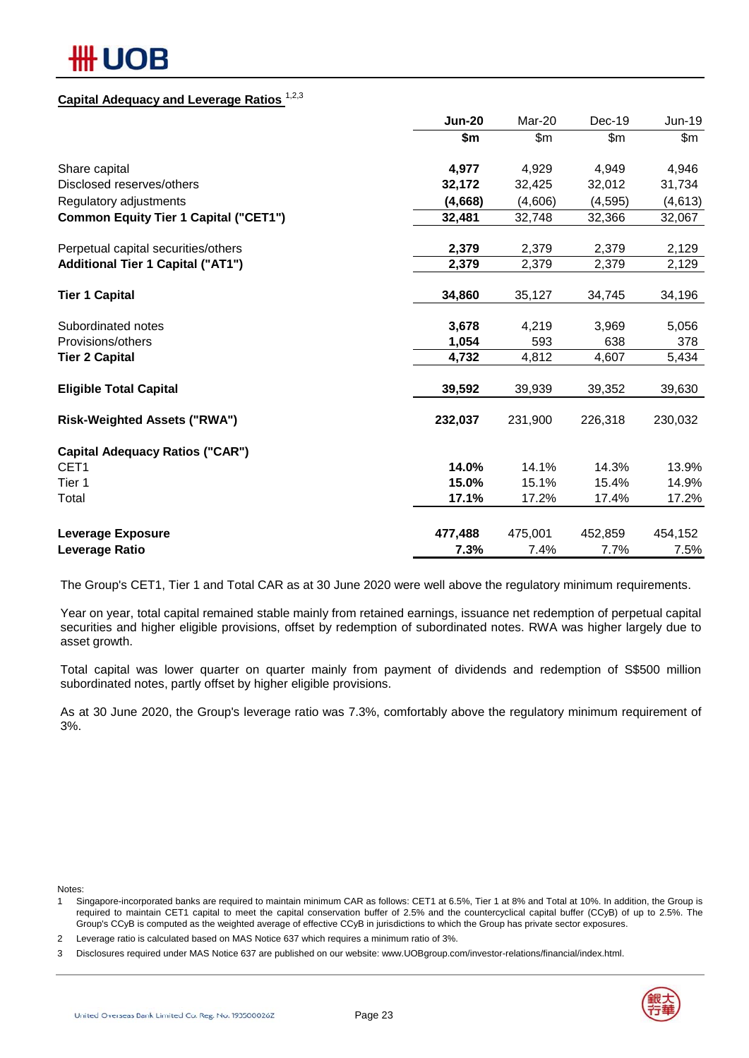## ## UOB

## **Capital Adequacy and Leverage Ratios** 1,2,3

|                                              | <b>Jun-20</b> | Mar-20  | Dec-19        | Jun-19  |
|----------------------------------------------|---------------|---------|---------------|---------|
|                                              | \$m           | \$m\$   | $\mathsf{Sm}$ | \$m     |
| Share capital                                | 4,977         | 4,929   | 4,949         | 4,946   |
| Disclosed reserves/others                    | 32,172        | 32,425  | 32,012        | 31,734  |
| Regulatory adjustments                       | (4,668)       | (4,606) | (4, 595)      | (4,613) |
| <b>Common Equity Tier 1 Capital ("CET1")</b> | 32,481        | 32,748  | 32,366        | 32,067  |
| Perpetual capital securities/others          | 2,379         | 2,379   | 2,379         | 2,129   |
| <b>Additional Tier 1 Capital ("AT1")</b>     | 2,379         | 2,379   | 2,379         | 2,129   |
| <b>Tier 1 Capital</b>                        | 34,860        | 35,127  | 34,745        | 34,196  |
| Subordinated notes                           | 3,678         | 4,219   | 3,969         | 5,056   |
| Provisions/others                            | 1,054         | 593     | 638           | 378     |
| <b>Tier 2 Capital</b>                        | 4,732         | 4,812   | 4,607         | 5,434   |
| <b>Eligible Total Capital</b>                | 39,592        | 39,939  | 39,352        | 39,630  |
| <b>Risk-Weighted Assets ("RWA")</b>          | 232,037       | 231,900 | 226,318       | 230,032 |
| <b>Capital Adequacy Ratios ("CAR")</b>       |               |         |               |         |
| CET <sub>1</sub>                             | 14.0%         | 14.1%   | 14.3%         | 13.9%   |
| Tier 1                                       | 15.0%         | 15.1%   | 15.4%         | 14.9%   |
| Total                                        | 17.1%         | 17.2%   | 17.4%         | 17.2%   |
| <b>Leverage Exposure</b>                     | 477,488       | 475,001 | 452,859       | 454,152 |
| Leverage Ratio                               | 7.3%          | 7.4%    | 7.7%          | 7.5%    |

The Group's CET1, Tier 1 and Total CAR as at 30 June 2020 were well above the regulatory minimum requirements.

Year on year, total capital remained stable mainly from retained earnings, issuance net redemption of perpetual capital securities and higher eligible provisions, offset by redemption of subordinated notes. RWA was higher largely due to asset growth.

Total capital was lower quarter on quarter mainly from payment of dividends and redemption of S\$500 million subordinated notes, partly offset by higher eligible provisions.

As at 30 June 2020, the Group's leverage ratio was 7.3%, comfortably above the regulatory minimum requirement of 3%.

Notes:

- 1 Singapore-incorporated banks are required to maintain minimum CAR as follows: CET1 at 6.5%, Tier 1 at 8% and Total at 10%. In addition, the Group is required to maintain CET1 capital to meet the capital conservation buffer of 2.5% and the countercyclical capital buffer (CCyB) of up to 2.5%. The Group's CCyB is computed as the weighted average of effective CCyB in jurisdictions to which the Group has private sector exposures.
- 2 Leverage ratio is calculated based on MAS Notice 637 which requires a minimum ratio of 3%.
- 3 Disclosures required under MAS Notice 637 are published on our website: www.UOBgroup.com/investor-relations/financial/index.html.

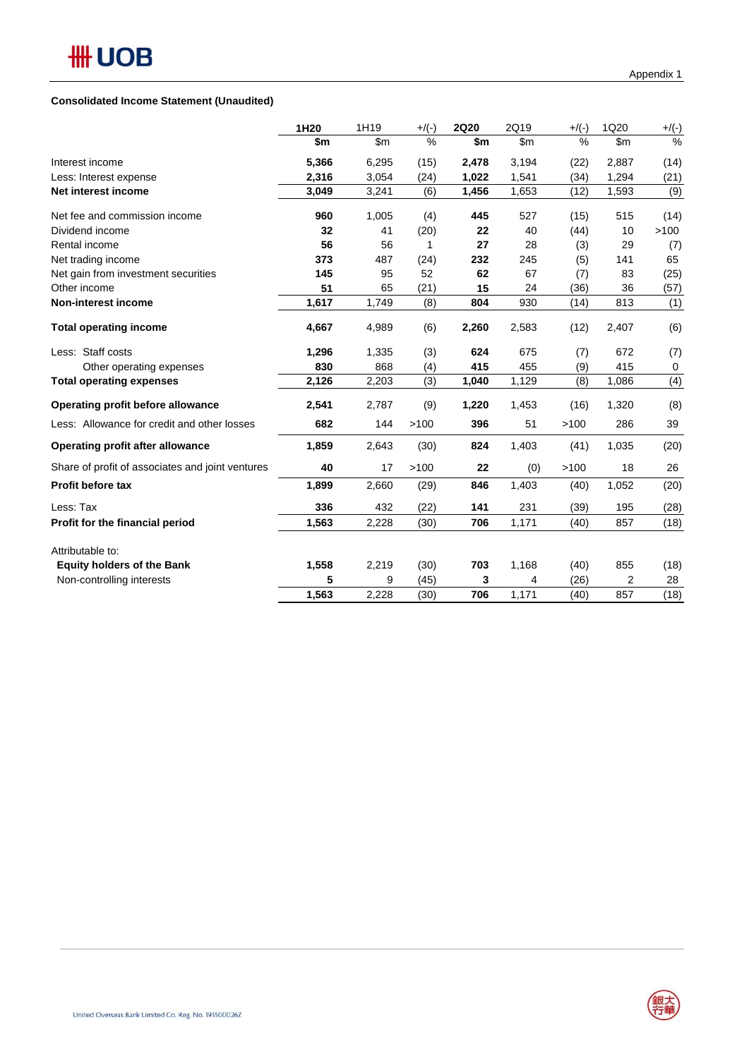## **Consolidated Income Statement (Unaudited)**

| 1H20  | 1H19  | $+$ /(-)      | <b>2Q20</b> | 2Q19          | $+$ /(-)      | 1Q20          | $+$ /(-) |
|-------|-------|---------------|-------------|---------------|---------------|---------------|----------|
| \$m   | \$m\$ | $\frac{0}{0}$ | \$m         | $\mathsf{Sm}$ | $\frac{0}{0}$ | $\mathsf{Sm}$ | $\%$     |
| 5,366 | 6,295 | (15)          | 2,478       | 3,194         | (22)          | 2,887         | (14)     |
| 2,316 | 3,054 | (24)          | 1,022       | 1,541         | (34)          | 1,294         | (21)     |
| 3,049 | 3,241 | (6)           | 1,456       | 1,653         | (12)          | 1,593         | (9)      |
| 960   | 1,005 | (4)           | 445         | 527           | (15)          | 515           | (14)     |
| 32    | 41    | (20)          | 22          | 40            | (44)          | 10            | >100     |
| 56    | 56    | 1             | 27          | 28            | (3)           | 29            | (7)      |
| 373   | 487   | (24)          | 232         | 245           | (5)           | 141           | 65       |
| 145   | 95    | 52            | 62          | 67            | (7)           | 83            | (25)     |
| 51    | 65    | (21)          | 15          | 24            | (36)          | 36            | (57)     |
| 1,617 | 1,749 | (8)           | 804         | 930           | (14)          | 813           | (1)      |
| 4,667 | 4,989 | (6)           | 2,260       | 2,583         | (12)          | 2,407         | (6)      |
| 1,296 | 1,335 | (3)           | 624         | 675           | (7)           | 672           | (7)      |
| 830   | 868   | (4)           | 415         | 455           | (9)           | 415           | 0        |
| 2,126 | 2,203 | (3)           | 1,040       | 1,129         | (8)           | 1,086         | (4)      |
| 2,541 | 2,787 | (9)           | 1,220       | 1,453         | (16)          | 1,320         | (8)      |
| 682   | 144   | >100          | 396         | 51            | >100          | 286           | 39       |
| 1,859 | 2,643 | (30)          | 824         | 1,403         | (41)          | 1,035         | (20)     |
| 40    | 17    | >100          | 22          | (0)           | >100          | 18            | 26       |
| 1,899 | 2,660 | (29)          | 846         | 1,403         | (40)          | 1,052         | (20)     |
| 336   | 432   | (22)          | 141         | 231           | (39)          | 195           | (28)     |
| 1,563 | 2,228 | (30)          | 706         | 1,171         | (40)          | 857           | (18)     |
|       |       |               |             |               |               |               |          |
| 1,558 | 2,219 | (30)          | 703         | 1,168         | (40)          | 855           | (18)     |
| 5     | 9     | (45)          | 3           | 4             | (26)          | 2             | 28       |
| 1,563 | 2,228 | (30)          | 706         | 1,171         | (40)          | 857           | (18)     |
|       |       |               |             |               |               |               |          |

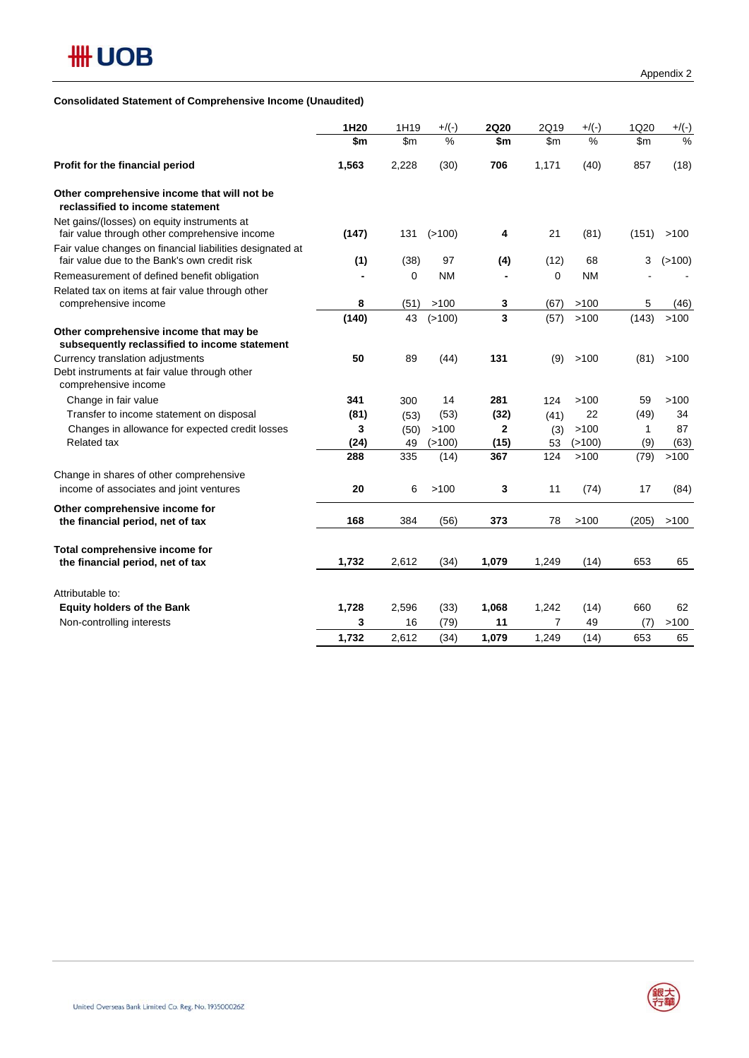

## **Consolidated Statement of Comprehensive Income (Unaudited)**

|                                                                                                           | 1H20  | 1H19          | $+$ /(-)  | <b>2Q20</b>  | 2Q19          | $+$ /(-)      | 1Q20         | $+$ /(-)      |
|-----------------------------------------------------------------------------------------------------------|-------|---------------|-----------|--------------|---------------|---------------|--------------|---------------|
|                                                                                                           | \$m   | $\mathsf{Sm}$ | $\%$      | \$m          | $\mathsf{Sm}$ | $\frac{0}{0}$ | \$m\$        | $\frac{0}{0}$ |
| Profit for the financial period                                                                           | 1,563 | 2,228         | (30)      | 706          | 1,171         | (40)          | 857          | (18)          |
| Other comprehensive income that will not be<br>reclassified to income statement                           |       |               |           |              |               |               |              |               |
| Net gains/(losses) on equity instruments at<br>fair value through other comprehensive income              | (147) | 131           | (>100)    | 4            | 21            | (81)          | (151)        | >100          |
| Fair value changes on financial liabilities designated at<br>fair value due to the Bank's own credit risk | (1)   | (38)          | 97        | (4)          | (12)          | 68            | 3            | (>100)        |
| Remeasurement of defined benefit obligation                                                               |       | 0             | <b>NM</b> |              | 0             | <b>NM</b>     |              |               |
| Related tax on items at fair value through other                                                          |       |               |           |              |               |               |              |               |
| comprehensive income                                                                                      | 8     | (51)          | >100      | 3            | (67)          | >100          | 5            | (46)          |
|                                                                                                           | (140) | 43            | (>100)    | 3            | (57)          | >100          | (143)        | >100          |
| Other comprehensive income that may be<br>subsequently reclassified to income statement                   |       |               |           |              |               |               |              |               |
| Currency translation adjustments                                                                          | 50    | 89            | (44)      | 131          | (9)           | >100          | (81)         | >100          |
| Debt instruments at fair value through other<br>comprehensive income                                      |       |               |           |              |               |               |              |               |
| Change in fair value                                                                                      | 341   | 300           | 14        | 281          | 124           | >100          | 59           | >100          |
| Transfer to income statement on disposal                                                                  | (81)  | (53)          | (53)      | (32)         | (41)          | 22            | (49)         | 34            |
| Changes in allowance for expected credit losses                                                           | 3     | (50)          | >100      | $\mathbf{2}$ | (3)           | >100          | $\mathbf{1}$ | 87            |
| <b>Related tax</b>                                                                                        | (24)  | 49            | (>100)    | (15)         | 53            | (>100)        | (9)          | (63)          |
|                                                                                                           | 288   | 335           | (14)      | 367          | 124           | >100          | (79)         | >100          |
| Change in shares of other comprehensive<br>income of associates and joint ventures                        | 20    | 6             | >100      | 3            | 11            | (74)          | 17           | (84)          |
|                                                                                                           |       |               |           |              |               |               |              |               |
| Other comprehensive income for<br>the financial period, net of tax                                        | 168   | 384           | (56)      | 373          | 78            | >100          | (205)        | >100          |
| Total comprehensive income for                                                                            |       |               |           |              |               |               |              |               |
| the financial period, net of tax                                                                          | 1,732 | 2,612         | (34)      | 1,079        | 1,249         | (14)          | 653          | 65            |
| Attributable to:                                                                                          |       |               |           |              |               |               |              |               |
| <b>Equity holders of the Bank</b>                                                                         | 1,728 | 2,596         | (33)      | 1,068        | 1,242         | (14)          | 660          | 62            |
| Non-controlling interests                                                                                 | 3     | 16            | (79)      | 11           | 7             | 49            | (7)          | >100          |
|                                                                                                           | 1,732 | 2,612         | (34)      | 1,079        | 1,249         | (14)          | 653          | 65            |
|                                                                                                           |       |               |           |              |               |               |              |               |

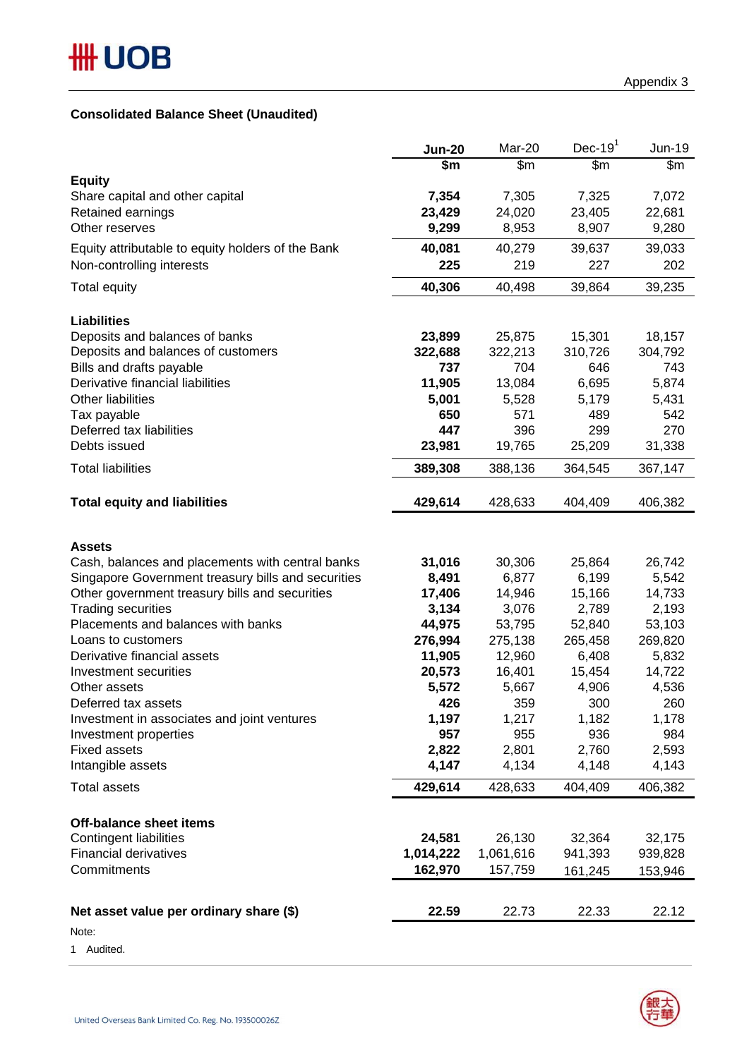## **Consolidated Balance Sheet (Unaudited)**

|                                                      | <b>Jun-20</b>     | Mar-20           | Dec-19 $1$ | Jun-19  |
|------------------------------------------------------|-------------------|------------------|------------|---------|
|                                                      | \$m               | $\overline{\$m}$ | \$m        | \$m\$   |
| <b>Equity</b>                                        | 7,354             | 7,305            | 7,325      | 7,072   |
| Share capital and other capital<br>Retained earnings | 23,429            | 24,020           | 23,405     | 22,681  |
| Other reserves                                       | 9,299             | 8,953            | 8,907      | 9,280   |
| Equity attributable to equity holders of the Bank    | 40,081            | 40,279           | 39,637     | 39,033  |
| Non-controlling interests                            | 225               | 219              | 227        | 202     |
| <b>Total equity</b>                                  | 40,306            | 40,498           | 39,864     | 39,235  |
|                                                      |                   |                  |            |         |
| <b>Liabilities</b><br>Deposits and balances of banks | 23,899            | 25,875           | 15,301     | 18,157  |
| Deposits and balances of customers                   | 322,688           | 322,213          | 310,726    | 304,792 |
| Bills and drafts payable                             | 737               | 704              | 646        | 743     |
| Derivative financial liabilities                     | 11,905            | 13,084           | 6,695      | 5,874   |
| <b>Other liabilities</b>                             | 5,001             | 5,528            | 5,179      | 5,431   |
| Tax payable                                          | 650               | 571              | 489        | 542     |
| Deferred tax liabilities                             | 447               | 396              | 299        | 270     |
| Debts issued                                         | 23,981            | 19,765           | 25,209     | 31,338  |
| <b>Total liabilities</b>                             | 389,308           | 388,136          | 364,545    | 367,147 |
|                                                      |                   |                  |            |         |
| <b>Total equity and liabilities</b>                  | 429,614           | 428,633          | 404,409    | 406,382 |
|                                                      |                   |                  |            |         |
| <b>Assets</b>                                        |                   |                  |            |         |
| Cash, balances and placements with central banks     | 31,016            | 30,306           | 25,864     | 26,742  |
| Singapore Government treasury bills and securities   | 8,491             | 6,877            | 6,199      | 5,542   |
| Other government treasury bills and securities       | 17,406            | 14,946           | 15,166     | 14,733  |
| <b>Trading securities</b>                            | 3,134             | 3,076            | 2,789      | 2,193   |
| Placements and balances with banks                   | 44,975<br>276,994 | 53,795           | 52,840     | 53,103  |
| Loans to customers<br>Derivative financial assets    |                   | 275,138          | 265,458    | 269,820 |
|                                                      | 11,905            | 12,960           | 6,408      | 5,832   |
| Investment securities                                | 20,573            | 16,401           | 15,454     | 14,722  |
| Other assets                                         | 5,572             | 5,667            | 4,906      | 4,536   |
| Deferred tax assets                                  | 426               | 359              | 300        | 260     |
| Investment in associates and joint ventures          | 1,197             | 1,217            | 1,182      | 1,178   |
| Investment properties                                | 957<br>2,822      | 955              | 936        | 984     |
| <b>Fixed assets</b>                                  |                   | 2,801            | 2,760      | 2,593   |
| Intangible assets                                    | 4,147             | 4,134            | 4,148      | 4,143   |
| <b>Total assets</b>                                  | 429,614           | 428,633          | 404,409    | 406,382 |
| <b>Off-balance sheet items</b>                       |                   |                  |            |         |
| <b>Contingent liabilities</b>                        | 24,581            | 26,130           | 32,364     | 32,175  |
| <b>Financial derivatives</b>                         | 1,014,222         | 1,061,616        | 941,393    | 939,828 |
| Commitments                                          | 162,970           | 157,759          | 161,245    | 153,946 |
|                                                      |                   |                  |            |         |
| Net asset value per ordinary share (\$)              | 22.59             | 22.73            | 22.33      | 22.12   |
| Note:                                                |                   |                  |            |         |

1 Audited.



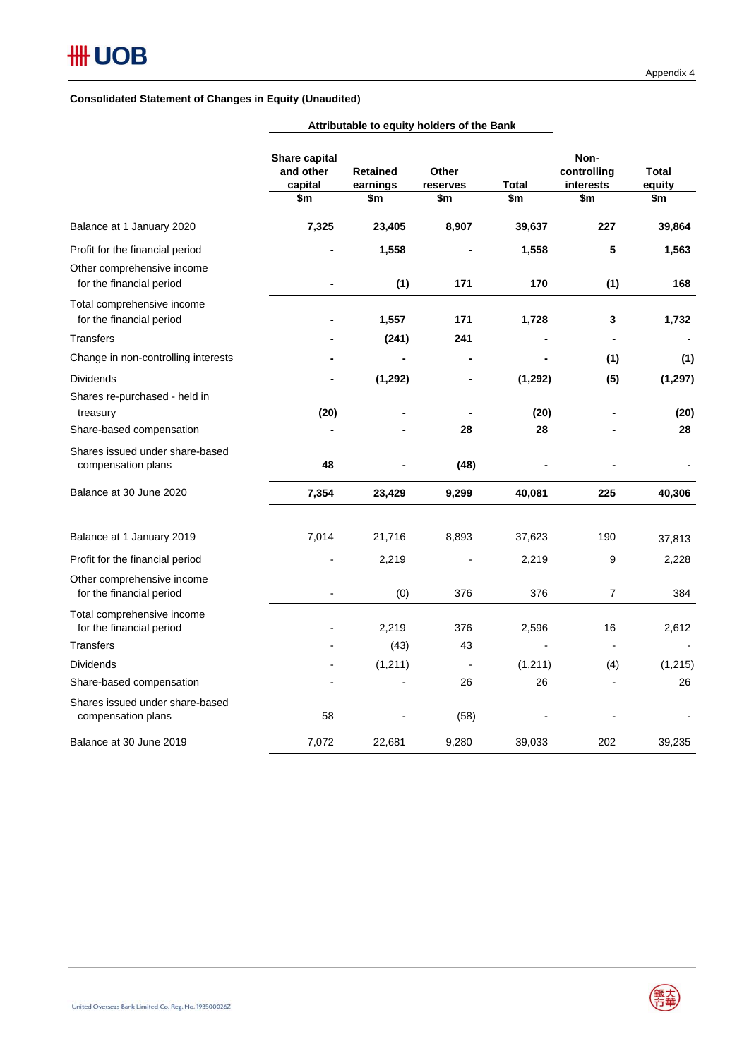## **Consolidated Statement of Changes in Equity (Unaudited)**

|                                                                                           | Share capital<br>and other<br>capital<br>\$m | <b>Retained</b><br>earnings<br>\$m | Other<br>reserves<br>\$m | Total<br>\$m   | Non-<br>controlling<br>interests<br>\$m | <b>Total</b><br>equity<br>\$m |
|-------------------------------------------------------------------------------------------|----------------------------------------------|------------------------------------|--------------------------|----------------|-----------------------------------------|-------------------------------|
| Balance at 1 January 2020                                                                 | 7,325                                        | 23,405                             | 8,907                    | 39,637         | 227                                     | 39,864                        |
| Profit for the financial period<br>Other comprehensive income<br>for the financial period |                                              | 1,558<br>(1)                       | 171                      | 1,558<br>170   | 5<br>(1)                                | 1,563<br>168                  |
| Total comprehensive income<br>for the financial period<br>Transfers                       |                                              | 1,557<br>(241)                     | 171<br>241               | 1,728          | 3                                       | 1,732                         |
| Change in non-controlling interests                                                       |                                              |                                    |                          |                | (1)                                     | (1)                           |
| Dividends<br>Shares re-purchased - held in                                                |                                              | (1, 292)                           |                          | (1, 292)       | (5)                                     | (1, 297)                      |
| treasury                                                                                  | (20)                                         |                                    |                          | (20)           |                                         | (20)                          |
| Share-based compensation                                                                  |                                              |                                    | 28                       | 28             |                                         | 28                            |
| Shares issued under share-based<br>compensation plans                                     | 48                                           |                                    | (48)                     |                |                                         |                               |
| Balance at 30 June 2020                                                                   | 7,354                                        | 23,429                             | 9,299                    | 40,081         | 225                                     | 40,306                        |
| Balance at 1 January 2019                                                                 | 7,014                                        | 21,716                             | 8,893                    | 37,623         | 190                                     | 37,813                        |
| Profit for the financial period                                                           |                                              | 2,219                              |                          | 2,219          | 9                                       | 2,228                         |
| Other comprehensive income<br>for the financial period                                    |                                              | (0)                                | 376                      | 376            | 7                                       | 384                           |
| Total comprehensive income<br>for the financial period                                    |                                              | 2,219                              | 376                      | 2,596          | 16                                      | 2,612                         |
| Transfers                                                                                 |                                              | (43)                               | 43                       | $\blacksquare$ | $\overline{\phantom{a}}$                | $\blacksquare$                |
| <b>Dividends</b>                                                                          |                                              | (1, 211)                           | $\blacksquare$           | (1,211)        | (4)                                     | (1, 215)                      |
| Share-based compensation                                                                  |                                              |                                    | 26                       | 26             |                                         | 26                            |
| Shares issued under share-based<br>compensation plans                                     | 58                                           |                                    | (58)                     |                |                                         |                               |
| Balance at 30 June 2019                                                                   | 7,072                                        | 22,681                             | 9,280                    | 39,033         | 202                                     | 39,235                        |

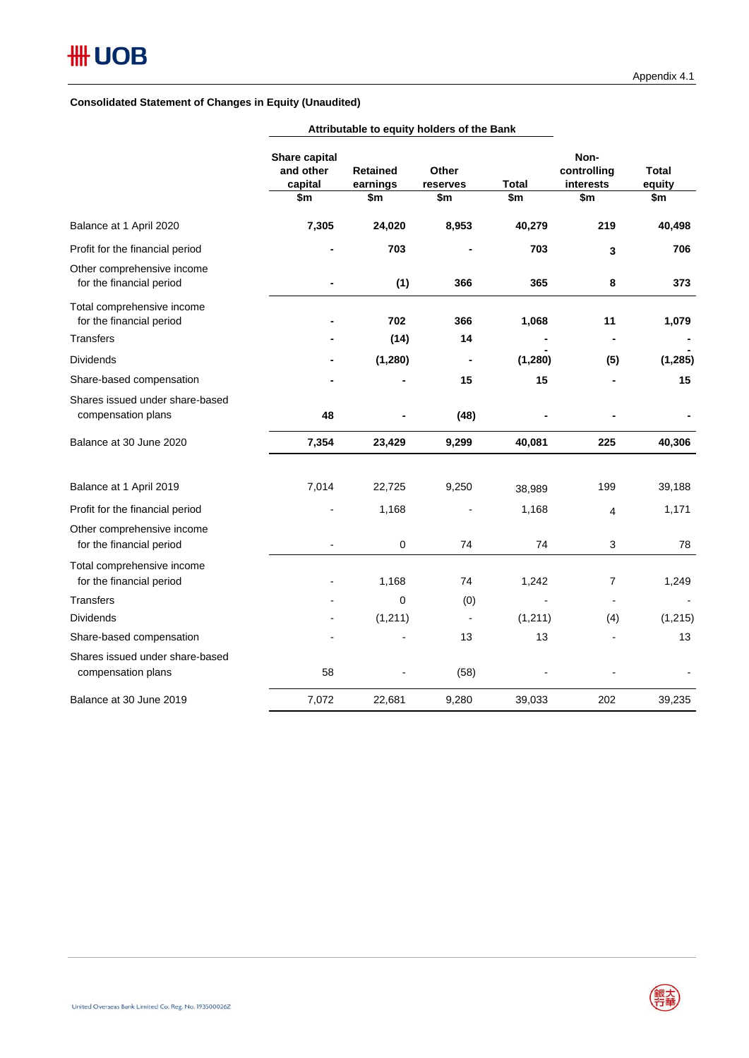#### **Consolidated Statement of Changes in Equity (Unaudited)**

|                                                        | Share capital<br>and other<br>capital | <b>Retained</b><br>earnings | Other<br>reserves | <b>Total</b> | Non-<br>controlling<br>interests | <b>Total</b><br>equity |
|--------------------------------------------------------|---------------------------------------|-----------------------------|-------------------|--------------|----------------------------------|------------------------|
|                                                        | \$m                                   | \$m                         | \$m               | \$m          | \$m                              | \$m                    |
| Balance at 1 April 2020                                | 7,305                                 | 24,020                      | 8,953             | 40,279       | 219                              | 40,498                 |
| Profit for the financial period                        | $\blacksquare$                        | 703                         |                   | 703          | 3                                | 706                    |
| Other comprehensive income<br>for the financial period |                                       | (1)                         | 366               | 365          | 8                                | 373                    |
| Total comprehensive income<br>for the financial period |                                       | 702                         | 366               | 1,068        | 11                               | 1,079                  |
| <b>Transfers</b>                                       |                                       | (14)                        | 14                |              | ۰                                |                        |
| <b>Dividends</b>                                       |                                       | (1, 280)                    | $\blacksquare$    | (1,280)      | (5)                              | (1, 285)               |
| Share-based compensation                               |                                       |                             | 15                | 15           |                                  | 15                     |
| Shares issued under share-based<br>compensation plans  | 48                                    |                             | (48)              |              |                                  |                        |
| Balance at 30 June 2020                                | 7,354                                 | 23,429                      | 9,299             | 40,081       | 225                              | 40,306                 |
| Balance at 1 April 2019                                | 7,014                                 | 22,725                      | 9,250             | 38,989       | 199                              | 39,188                 |
| Profit for the financial period                        |                                       | 1,168                       |                   | 1,168        | $\overline{4}$                   | 1,171                  |
| Other comprehensive income<br>for the financial period |                                       | $\mathbf 0$                 | 74                | 74           | 3                                | 78                     |
| Total comprehensive income<br>for the financial period |                                       | 1,168                       | 74                | 1,242        | 7                                | 1,249                  |
| <b>Transfers</b>                                       |                                       | $\Omega$                    | (0)               |              | $\overline{\phantom{0}}$         |                        |
| <b>Dividends</b>                                       |                                       | (1, 211)                    |                   | (1, 211)     | (4)                              | (1, 215)               |
| Share-based compensation                               |                                       |                             | 13                | 13           |                                  | 13                     |
| Shares issued under share-based<br>compensation plans  | 58                                    |                             | (58)              |              |                                  |                        |
| Balance at 30 June 2019                                | 7,072                                 | 22,681                      | 9,280             | 39,033       | 202                              | 39,235                 |

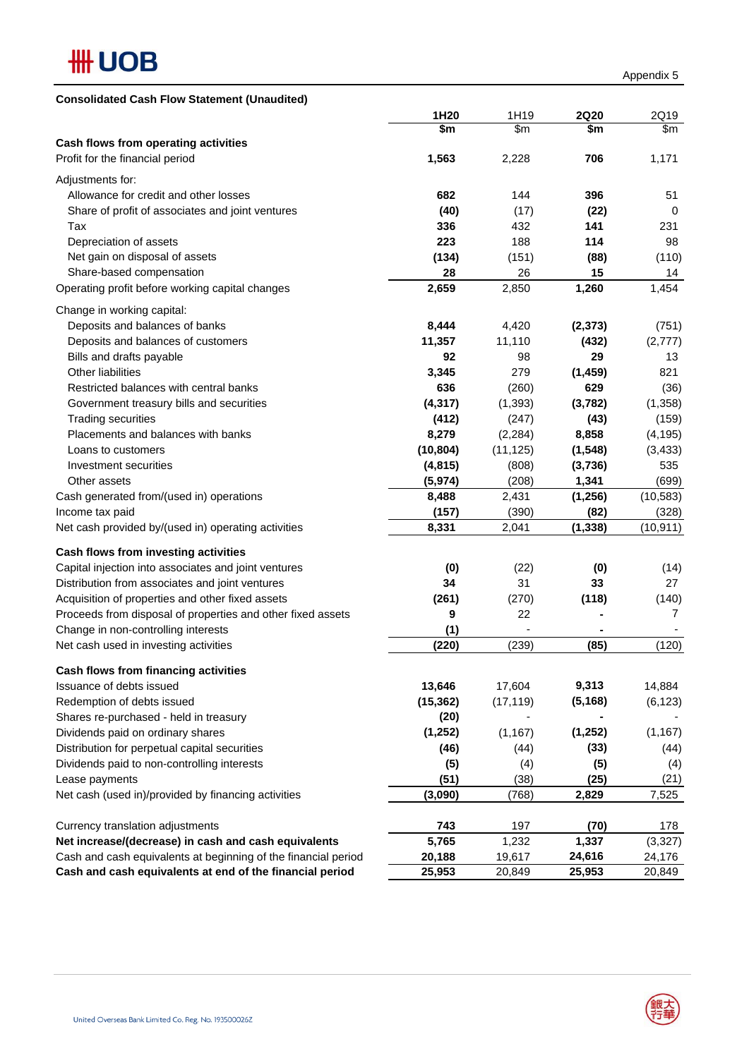

| <b>Consolidated Cash Flow Statement (Unaudited)</b>            |           |               |             |           |
|----------------------------------------------------------------|-----------|---------------|-------------|-----------|
|                                                                | 1H20      | 1H19          | <b>2Q20</b> | 2Q19      |
|                                                                | \$m       | $\mathsf{Sm}$ | \$m         | \$m       |
| Cash flows from operating activities                           |           |               |             |           |
| Profit for the financial period                                | 1,563     | 2,228         | 706         | 1,171     |
| Adjustments for:                                               |           |               |             |           |
| Allowance for credit and other losses                          | 682       | 144           | 396         | 51        |
| Share of profit of associates and joint ventures               | (40)      | (17)          | (22)        | 0         |
| Tax                                                            | 336       | 432           | 141         | 231       |
| Depreciation of assets                                         | 223       | 188           | 114         | 98        |
| Net gain on disposal of assets                                 | (134)     | (151)         | (88)        | (110)     |
| Share-based compensation                                       | 28        | 26            | 15          | 14        |
| Operating profit before working capital changes                | 2,659     | 2,850         | 1,260       | 1,454     |
|                                                                |           |               |             |           |
| Change in working capital:                                     |           |               |             |           |
| Deposits and balances of banks                                 | 8,444     | 4,420         | (2, 373)    | (751)     |
| Deposits and balances of customers                             | 11,357    | 11,110        | (432)       | (2,777)   |
| Bills and drafts payable                                       | 92        | 98            | 29          | 13        |
| Other liabilities                                              | 3,345     | 279           | (1, 459)    | 821       |
| Restricted balances with central banks                         | 636       | (260)         | 629         | (36)      |
| Government treasury bills and securities                       | (4, 317)  | (1, 393)      | (3,782)     | (1,358)   |
| <b>Trading securities</b>                                      | (412)     | (247)         | (43)        | (159)     |
| Placements and balances with banks                             | 8,279     | (2, 284)      | 8,858       | (4, 195)  |
| Loans to customers                                             | (10, 804) | (11, 125)     | (1, 548)    | (3, 433)  |
| Investment securities                                          | (4, 815)  | (808)         | (3,736)     | 535       |
| Other assets                                                   | (5, 974)  | (208)         | 1,341       | (699)     |
| Cash generated from/(used in) operations                       | 8,488     | 2,431         | (1, 256)    | (10, 583) |
| Income tax paid                                                | (157)     | (390)         | (82)        | (328)     |
| Net cash provided by/(used in) operating activities            | 8,331     | 2,041         | (1, 338)    | (10, 911) |
|                                                                |           |               |             |           |
| Cash flows from investing activities                           |           |               |             |           |
| Capital injection into associates and joint ventures           | (0)       | (22)          | (0)         | (14)      |
| Distribution from associates and joint ventures                | 34        | 31            | 33          | 27        |
| Acquisition of properties and other fixed assets               | (261)     | (270)         | (118)       | (140)     |
| Proceeds from disposal of properties and other fixed assets    | 9         | 22            |             | 7         |
| Change in non-controlling interests                            | (1)       |               |             |           |
| Net cash used in investing activities                          | (220)     | (239)         | (85)        | (120)     |
| Cash flows from financing activities                           |           |               |             |           |
| Issuance of debts issued                                       | 13,646    | 17,604        | 9,313       | 14,884    |
| Redemption of debts issued                                     | (15, 362) | (17, 119)     | (5, 168)    | (6, 123)  |
|                                                                | (20)      |               |             |           |
| Shares re-purchased - held in treasury                         |           |               | (1, 252)    | (1, 167)  |
| Dividends paid on ordinary shares                              | (1, 252)  | (1, 167)      |             |           |
| Distribution for perpetual capital securities                  | (46)      | (44)          | (33)        | (44)      |
| Dividends paid to non-controlling interests                    | (5)       | (4)           | (5)         | (4)       |
| Lease payments                                                 | (51)      | (38)          | (25)        | (21)      |
| Net cash (used in)/provided by financing activities            | (3,090)   | (768)         | 2,829       | 7,525     |
|                                                                |           |               |             |           |
| Currency translation adjustments                               | 743       | 197           | (70)        | 178       |
| Net increase/(decrease) in cash and cash equivalents           | 5,765     | 1,232         | 1,337       | (3, 327)  |
| Cash and cash equivalents at beginning of the financial period | 20,188    | 19,617        | 24,616      | 24,176    |
| Cash and cash equivalents at end of the financial period       | 25,953    | 20,849        | 25,953      | 20,849    |

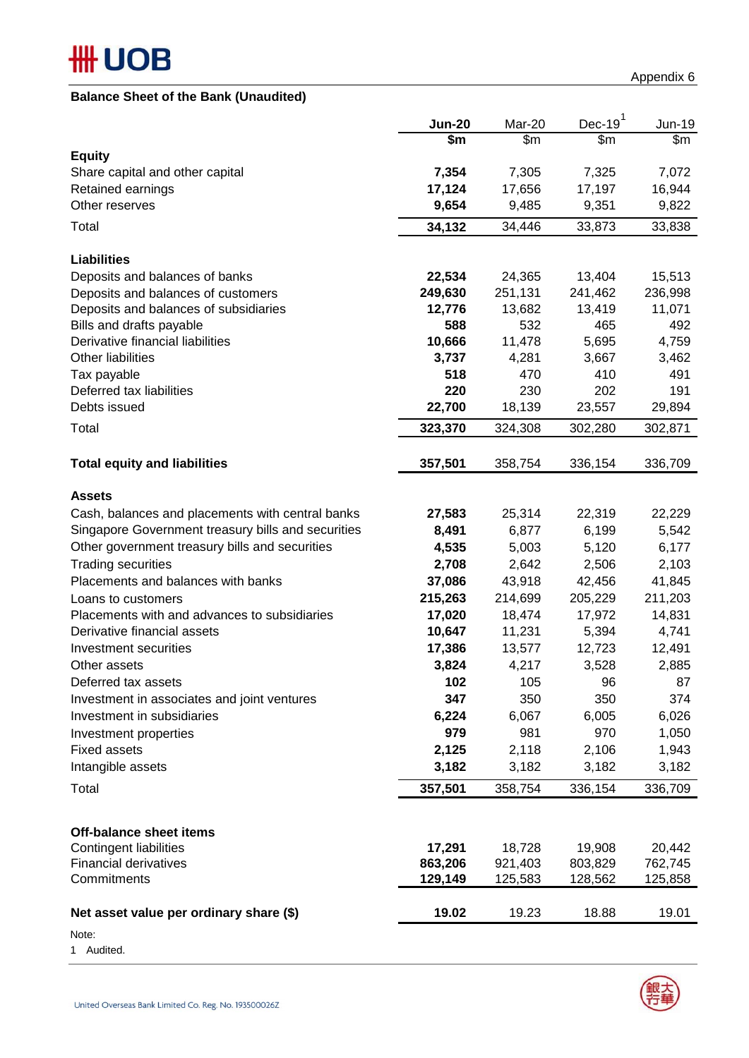# **#HUOB**

## **Balance Sheet of the Bank (Unaudited)**

|                                                    | <b>Jun-20</b> | Mar-20  | $Dec-191$ | Jun-19  |
|----------------------------------------------------|---------------|---------|-----------|---------|
|                                                    | \$m           | \$m\$   | \$m\$     | \$m     |
| <b>Equity</b>                                      |               |         |           |         |
| Share capital and other capital                    | 7,354         | 7,305   | 7,325     | 7,072   |
| Retained earnings                                  | 17,124        | 17,656  | 17,197    | 16,944  |
| Other reserves                                     | 9,654         | 9,485   | 9,351     | 9,822   |
| Total                                              | 34,132        | 34,446  | 33,873    | 33,838  |
| <b>Liabilities</b>                                 |               |         |           |         |
| Deposits and balances of banks                     | 22,534        | 24,365  | 13,404    | 15,513  |
| Deposits and balances of customers                 | 249,630       | 251,131 | 241,462   | 236,998 |
| Deposits and balances of subsidiaries              | 12,776        | 13,682  | 13,419    | 11,071  |
| Bills and drafts payable                           | 588           | 532     | 465       | 492     |
| Derivative financial liabilities                   | 10,666        | 11,478  | 5,695     | 4,759   |
| <b>Other liabilities</b>                           | 3,737         | 4,281   | 3,667     | 3,462   |
| Tax payable                                        | 518           | 470     | 410       | 491     |
| Deferred tax liabilities                           | 220           | 230     | 202       | 191     |
| Debts issued                                       | 22,700        | 18,139  | 23,557    | 29,894  |
| Total                                              | 323,370       | 324,308 | 302,280   | 302,871 |
| <b>Total equity and liabilities</b>                | 357,501       | 358,754 | 336,154   | 336,709 |
| <b>Assets</b>                                      |               |         |           |         |
| Cash, balances and placements with central banks   | 27,583        | 25,314  | 22,319    | 22,229  |
| Singapore Government treasury bills and securities | 8,491         | 6,877   | 6,199     | 5,542   |
| Other government treasury bills and securities     | 4,535         | 5,003   | 5,120     | 6,177   |
| <b>Trading securities</b>                          | 2,708         | 2,642   | 2,506     | 2,103   |
| Placements and balances with banks                 | 37,086        | 43,918  | 42,456    | 41,845  |
| Loans to customers                                 | 215,263       | 214,699 | 205,229   | 211,203 |
| Placements with and advances to subsidiaries       | 17,020        | 18,474  | 17,972    | 14,831  |
| Derivative financial assets                        | 10,647        | 11,231  | 5,394     | 4,741   |
| Investment securities                              | 17,386        | 13,577  | 12,723    | 12,491  |
| Other assets                                       | 3,824         | 4,217   | 3,528     | 2,885   |
| Deferred tax assets                                | 102           | 105     | 96        | 87      |
| Investment in associates and joint ventures        | 347           | 350     | 350       | 374     |
| Investment in subsidiaries                         | 6,224         | 6,067   | 6,005     | 6,026   |
| Investment properties                              | 979           | 981     | 970       | 1,050   |
| <b>Fixed assets</b>                                | 2,125         | 2,118   | 2,106     | 1,943   |
| Intangible assets                                  | 3,182         | 3,182   | 3,182     | 3,182   |
| Total                                              | 357,501       | 358,754 | 336,154   | 336,709 |
|                                                    |               |         |           |         |
| <b>Off-balance sheet items</b>                     |               |         |           |         |
| Contingent liabilities                             | 17,291        | 18,728  | 19,908    | 20,442  |
| <b>Financial derivatives</b>                       | 863,206       | 921,403 | 803,829   | 762,745 |
| Commitments                                        | 129,149       | 125,583 | 128,562   | 125,858 |
| Net asset value per ordinary share (\$)            | 19.02         | 19.23   | 18.88     | 19.01   |

Note:

1 Audited.

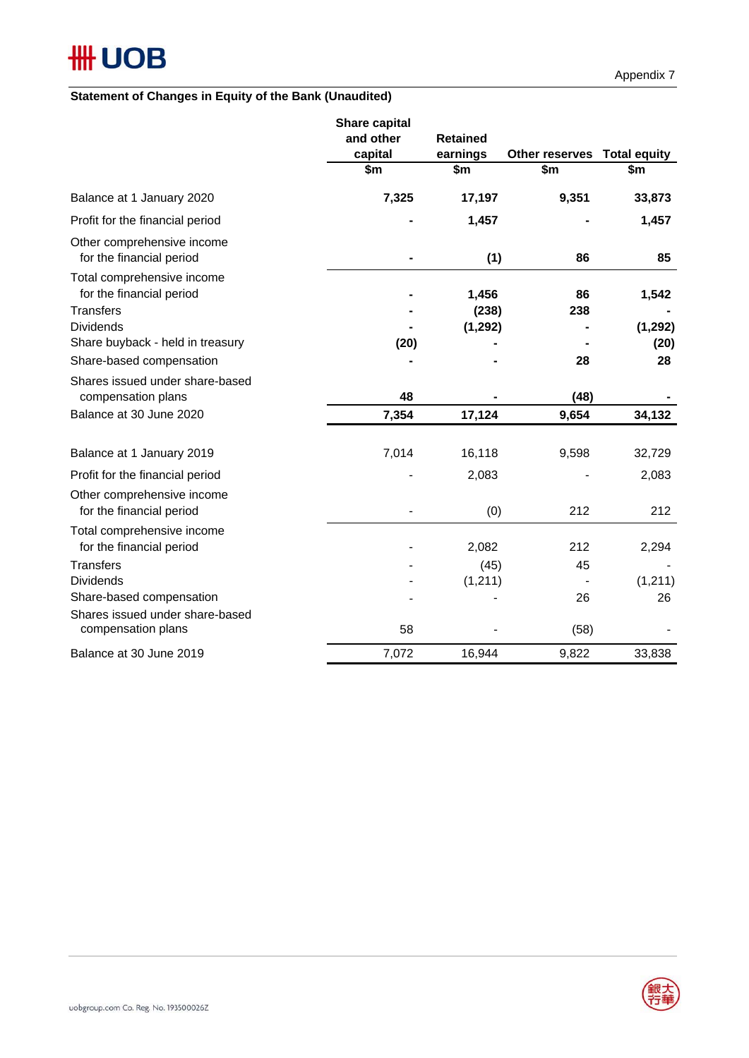## **Statement of Changes in Equity of the Bank (Unaudited)**

|                                                                            | <b>Share capital</b><br>and other<br>capital | <b>Retained</b><br>earnings | Other reserves Total equity |          |  |
|----------------------------------------------------------------------------|----------------------------------------------|-----------------------------|-----------------------------|----------|--|
|                                                                            | \$m                                          | \$m                         | \$m                         | \$m      |  |
| Balance at 1 January 2020                                                  | 7,325                                        | 17,197                      | 9,351                       | 33,873   |  |
| Profit for the financial period                                            |                                              | 1,457                       |                             | 1,457    |  |
| Other comprehensive income<br>for the financial period                     |                                              | (1)                         | 86                          | 85       |  |
| Total comprehensive income<br>for the financial period<br><b>Transfers</b> |                                              | 1,456<br>(238)              | 86<br>238                   | 1,542    |  |
| <b>Dividends</b>                                                           |                                              | (1, 292)                    |                             | (1, 292) |  |
| Share buyback - held in treasury                                           | (20)                                         |                             |                             | (20)     |  |
| Share-based compensation                                                   |                                              |                             | 28                          | 28       |  |
| Shares issued under share-based<br>compensation plans                      | 48                                           |                             | (48)                        |          |  |
| Balance at 30 June 2020                                                    | 7,354                                        | 17,124                      | 9,654                       | 34,132   |  |
| Balance at 1 January 2019                                                  | 7,014                                        | 16,118                      | 9,598                       | 32,729   |  |
| Profit for the financial period                                            |                                              | 2,083                       |                             | 2,083    |  |
| Other comprehensive income<br>for the financial period                     |                                              | (0)                         | 212                         | 212      |  |
| Total comprehensive income<br>for the financial period                     |                                              | 2,082                       | 212                         | 2,294    |  |
| <b>Transfers</b>                                                           |                                              | (45)                        | 45                          |          |  |
| <b>Dividends</b>                                                           |                                              | (1, 211)                    |                             | (1, 211) |  |
| Share-based compensation                                                   |                                              |                             | 26                          | 26       |  |
| Shares issued under share-based<br>compensation plans                      | 58                                           |                             | (58)                        |          |  |
| Balance at 30 June 2019                                                    | 7,072                                        | 16,944                      | 9,822                       | 33,838   |  |